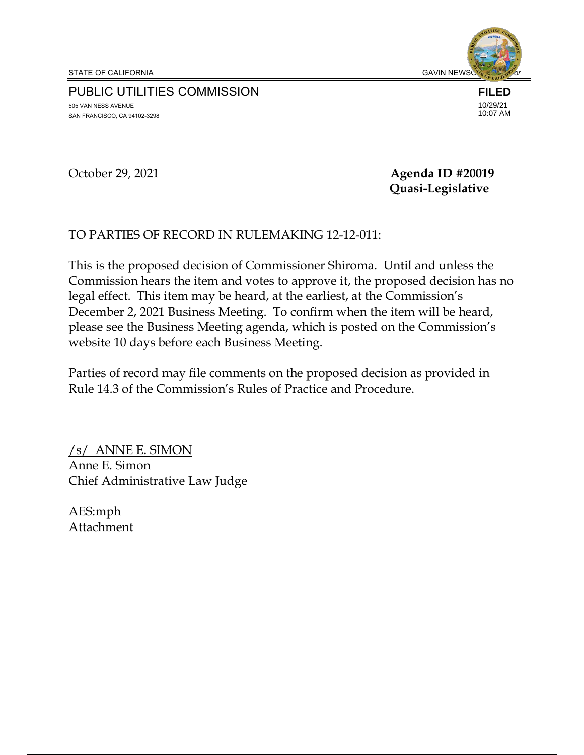PUBLIC UTILITIES COMMISSION 505 VAN NESS AVENUE SAN FRANCISCO, CA 94102-3298

**FILED** 10/29/21 10:07 AM

October 29, 2021 **Agenda ID #20019 Quasi-Legislative**

#### TO PARTIES OF RECORD IN RULEMAKING 12-12-011:

This is the proposed decision of Commissioner Shiroma. Until and unless the Commission hears the item and votes to approve it, the proposed decision has no legal effect. This item may be heard, at the earliest, at the Commission's December 2, 2021 Business Meeting. To confirm when the item will be heard, please see the Business Meeting agenda, which is posted on the Commission's website 10 days before each Business Meeting.

Parties of record may file comments on the proposed decision as provided in Rule 14.3 of the Commission's Rules of Practice and Procedure.

/s/ ANNE E. SIMON Anne E. Simon Chief Administrative Law Judge

AES:mph Attachment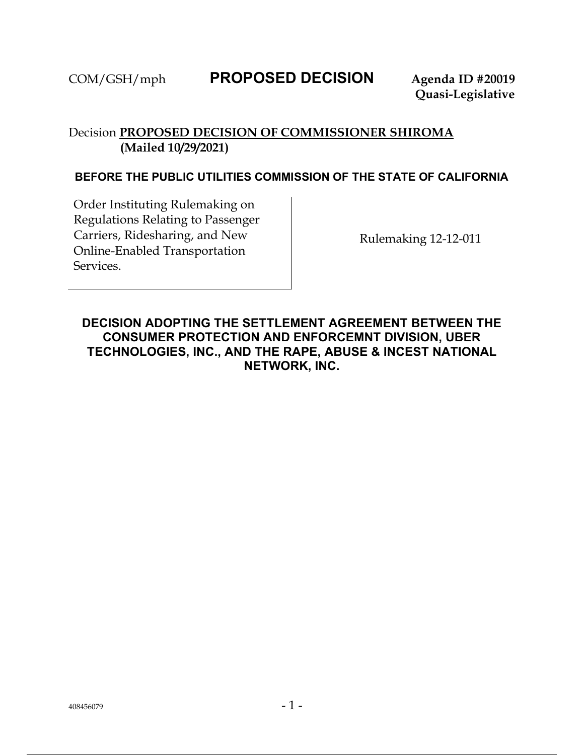# COM/GSH/mph **PROPOSED DECISION Agenda ID #20019**

## Decision **PROPOSED DECISION OF COMMISSIONER SHIROMA (Mailed 10/29/2021)**

#### **BEFORE THE PUBLIC UTILITIES COMMISSION OF THE STATE OF CALIFORNIA**

Order Instituting Rulemaking on Regulations Relating to Passenger Carriers, Ridesharing, and New Online-Enabled Transportation Services.

Rulemaking 12-12-011

### **DECISION ADOPTING THE SETTLEMENT AGREEMENT BETWEEN THE CONSUMER PROTECTION AND ENFORCEMNT DIVISION, UBER TECHNOLOGIES, INC., AND THE RAPE, ABUSE & INCEST NATIONAL NETWORK, INC.**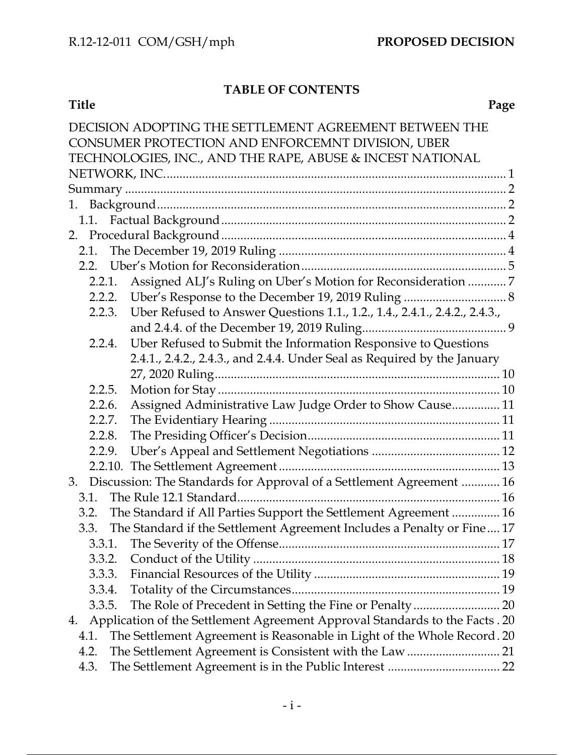# **TABLE OF CONTENTS**

| <b>Title</b> | Page |
|--------------|------|
|              |      |

| DECISION ADOPTING THE SETTLEMENT AGREEMENT BETWEEN THE                               |  |  |  |
|--------------------------------------------------------------------------------------|--|--|--|
| CONSUMER PROTECTION AND ENFORCEMNT DIVISION, UBER                                    |  |  |  |
| TECHNOLOGIES, INC., AND THE RAPE, ABUSE & INCEST NATIONAL                            |  |  |  |
|                                                                                      |  |  |  |
|                                                                                      |  |  |  |
|                                                                                      |  |  |  |
|                                                                                      |  |  |  |
|                                                                                      |  |  |  |
|                                                                                      |  |  |  |
| 2.2.                                                                                 |  |  |  |
| Assigned ALJ's Ruling on Uber's Motion for Reconsideration  7<br>2.2.1.              |  |  |  |
| 2.2.2.                                                                               |  |  |  |
| Uber Refused to Answer Questions 1.1., 1.2., 1.4., 2.4.1., 2.4.2., 2.4.3.,<br>2.2.3. |  |  |  |
|                                                                                      |  |  |  |
| Uber Refused to Submit the Information Responsive to Questions<br>2.2.4.             |  |  |  |
| 2.4.1., 2.4.2., 2.4.3., and 2.4.4. Under Seal as Required by the January             |  |  |  |
|                                                                                      |  |  |  |
| 2.2.5.                                                                               |  |  |  |
| Assigned Administrative Law Judge Order to Show Cause 11<br>2.2.6.                   |  |  |  |
| 2.2.7.                                                                               |  |  |  |
| 2.2.8.                                                                               |  |  |  |
| 2.2.9.                                                                               |  |  |  |
|                                                                                      |  |  |  |
| Discussion: The Standards for Approval of a Settlement Agreement  16<br>3.           |  |  |  |
| 3.1.                                                                                 |  |  |  |
| The Standard if All Parties Support the Settlement Agreement  16<br>3.2.             |  |  |  |
| The Standard if the Settlement Agreement Includes a Penalty or Fine 17<br>3.3.       |  |  |  |
|                                                                                      |  |  |  |
| 3.3.2.                                                                               |  |  |  |
| 3.3.3.                                                                               |  |  |  |
| 3.3.4.                                                                               |  |  |  |
| 3.3.5.                                                                               |  |  |  |
| Application of the Settlement Agreement Approval Standards to the Facts . 20<br>4.   |  |  |  |
| The Settlement Agreement is Reasonable in Light of the Whole Record. 20<br>4.1.      |  |  |  |
| The Settlement Agreement is Consistent with the Law  21<br>4.2.                      |  |  |  |
| 4.3.                                                                                 |  |  |  |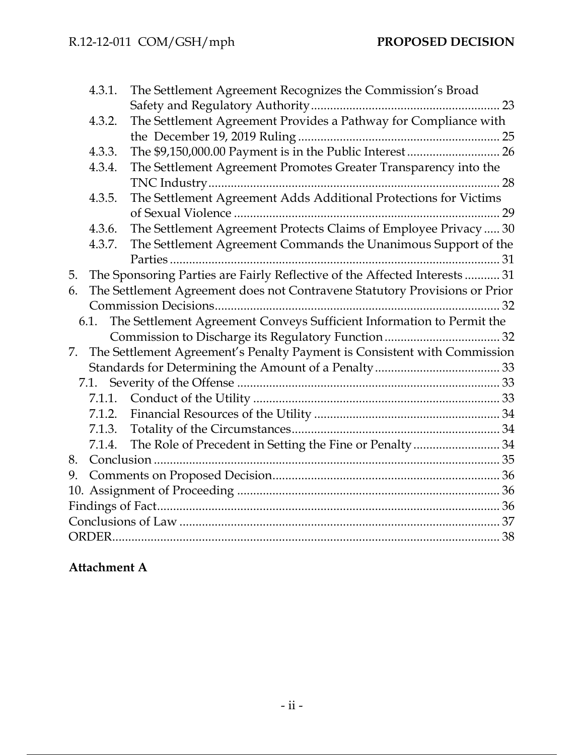|    | 4.3.1. | The Settlement Agreement Recognizes the Commission's Broad                 |  |
|----|--------|----------------------------------------------------------------------------|--|
|    |        |                                                                            |  |
|    | 4.3.2. | The Settlement Agreement Provides a Pathway for Compliance with            |  |
|    |        |                                                                            |  |
|    | 4.3.3. | The \$9,150,000.00 Payment is in the Public Interest  26                   |  |
|    | 4.3.4. | The Settlement Agreement Promotes Greater Transparency into the            |  |
|    |        |                                                                            |  |
|    | 4.3.5. | The Settlement Agreement Adds Additional Protections for Victims           |  |
|    |        |                                                                            |  |
|    | 4.3.6. | The Settlement Agreement Protects Claims of Employee Privacy  30           |  |
|    | 4.3.7. | The Settlement Agreement Commands the Unanimous Support of the             |  |
|    |        |                                                                            |  |
| 5. |        | The Sponsoring Parties are Fairly Reflective of the Affected Interests  31 |  |
| 6. |        | The Settlement Agreement does not Contravene Statutory Provisions or Prior |  |
|    |        |                                                                            |  |
|    | 6.1.   | The Settlement Agreement Conveys Sufficient Information to Permit the      |  |
|    |        |                                                                            |  |
| 7. |        | The Settlement Agreement's Penalty Payment is Consistent with Commission   |  |
|    |        |                                                                            |  |
|    |        |                                                                            |  |
|    |        |                                                                            |  |
|    |        |                                                                            |  |
|    |        |                                                                            |  |
|    | 7.1.4. |                                                                            |  |
| 8. |        |                                                                            |  |
| 9. |        |                                                                            |  |
|    |        |                                                                            |  |
|    |        |                                                                            |  |
|    |        |                                                                            |  |
|    |        |                                                                            |  |
|    |        |                                                                            |  |

# **Attachment A**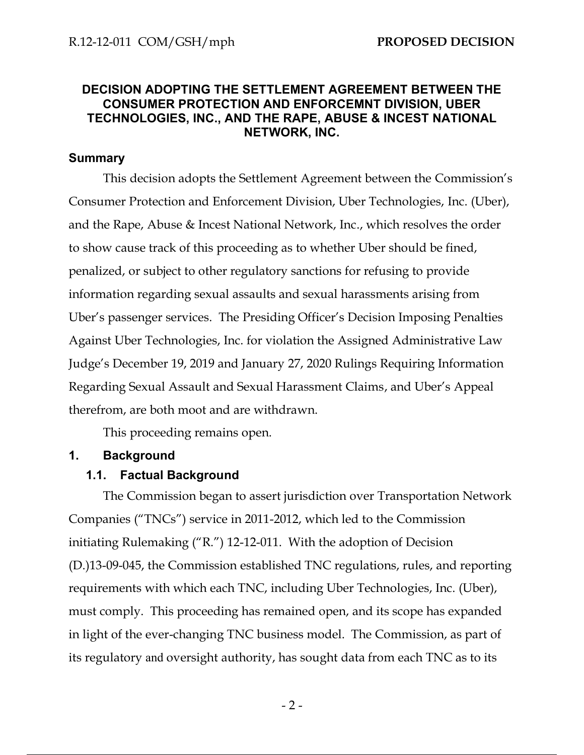#### **DECISION ADOPTING THE SETTLEMENT AGREEMENT BETWEEN THE CONSUMER PROTECTION AND ENFORCEMNT DIVISION, UBER TECHNOLOGIES, INC., AND THE RAPE, ABUSE & INCEST NATIONAL NETWORK, INC.**

#### **Summary**

This decision adopts the Settlement Agreement between the Commission's Consumer Protection and Enforcement Division, Uber Technologies, Inc. (Uber), and the Rape, Abuse & Incest National Network, Inc., which resolves the order to show cause track of this proceeding as to whether Uber should be fined, penalized, or subject to other regulatory sanctions for refusing to provide information regarding sexual assaults and sexual harassments arising from Uber's passenger services. The Presiding Officer's Decision Imposing Penalties Against Uber Technologies, Inc. for violation the Assigned Administrative Law Judge's December 19, 2019 and January 27, 2020 Rulings Requiring Information Regarding Sexual Assault and Sexual Harassment Claims, and Uber's Appeal therefrom, are both moot and are withdrawn.

This proceeding remains open.

#### **1. Background**

#### **1.1. Factual Background**

The Commission began to assert jurisdiction over Transportation Network Companies ("TNCs") service in 2011-2012, which led to the Commission initiating Rulemaking ("R.") 12-12-011. With the adoption of Decision (D.)13-09-045, the Commission established TNC regulations, rules, and reporting requirements with which each TNC, including Uber Technologies, Inc. (Uber), must comply. This proceeding has remained open, and its scope has expanded in light of the ever-changing TNC business model. The Commission, as part of its regulatory and oversight authority, has sought data from each TNC as to its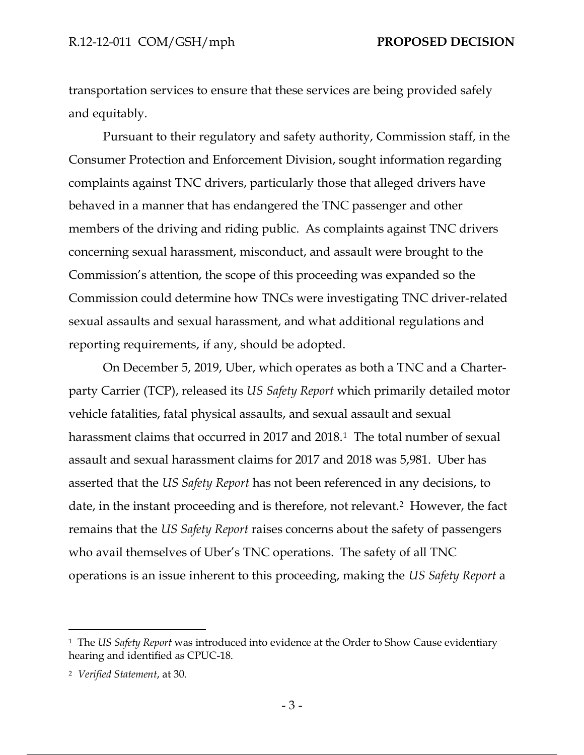transportation services to ensure that these services are being provided safely and equitably.

Pursuant to their regulatory and safety authority, Commission staff, in the Consumer Protection and Enforcement Division, sought information regarding complaints against TNC drivers, particularly those that alleged drivers have behaved in a manner that has endangered the TNC passenger and other members of the driving and riding public. As complaints against TNC drivers concerning sexual harassment, misconduct, and assault were brought to the Commission's attention, the scope of this proceeding was expanded so the Commission could determine how TNCs were investigating TNC driver-related sexual assaults and sexual harassment, and what additional regulations and reporting requirements, if any, should be adopted.

On December 5, 2019, Uber, which operates as both a TNC and a Charterparty Carrier (TCP), released its *US Safety Report* which primarily detailed motor vehicle fatalities, fatal physical assaults, and sexual assault and sexual harassment claims that occurred in 2017 and 2018.<sup>1</sup> The total number of sexual assault and sexual harassment claims for 2017 and 2018 was 5,981. Uber has asserted that the *US Safety Report* has not been referenced in any decisions, to date, in the instant proceeding and is therefore, not relevant.2 However, the fact remains that the *US Safety Report* raises concerns about the safety of passengers who avail themselves of Uber's TNC operations. The safety of all TNC operations is an issue inherent to this proceeding, making the *US Safety Report* a

<sup>1</sup> The *US Safety Report* was introduced into evidence at the Order to Show Cause evidentiary hearing and identified as CPUC-18.

<sup>2</sup> *Verified Statement*, at 30.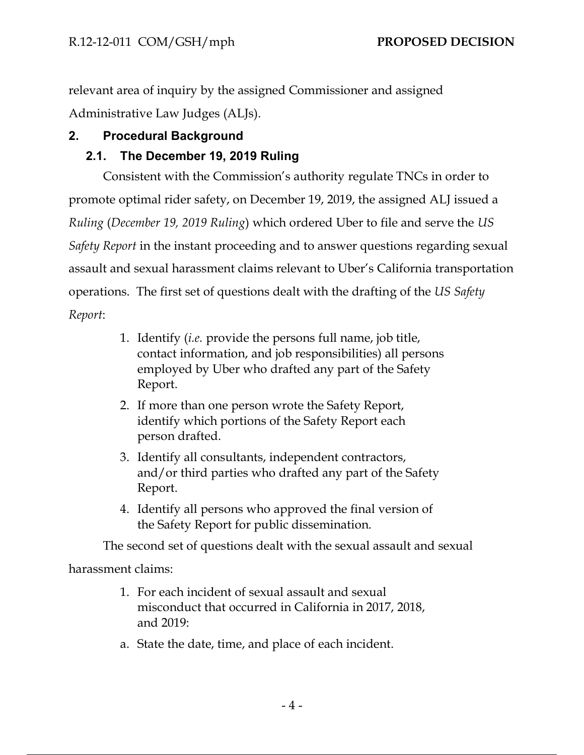relevant area of inquiry by the assigned Commissioner and assigned Administrative Law Judges (ALJs).

## **2. Procedural Background**

## **2.1. The December 19, 2019 Ruling**

Consistent with the Commission's authority regulate TNCs in order to promote optimal rider safety, on December 19, 2019, the assigned ALJ issued a *Ruling* (*December 19, 2019 Ruling*) which ordered Uber to file and serve the *US Safety Report* in the instant proceeding and to answer questions regarding sexual assault and sexual harassment claims relevant to Uber's California transportation operations. The first set of questions dealt with the drafting of the *US Safety Report*:

- 1. Identify (*i.e.* provide the persons full name, job title, contact information, and job responsibilities) all persons employed by Uber who drafted any part of the Safety Report.
- 2. If more than one person wrote the Safety Report, identify which portions of the Safety Report each person drafted.
- 3. Identify all consultants, independent contractors, and/or third parties who drafted any part of the Safety Report.
- 4. Identify all persons who approved the final version of the Safety Report for public dissemination.

The second set of questions dealt with the sexual assault and sexual

harassment claims:

- 1. For each incident of sexual assault and sexual misconduct that occurred in California in 2017, 2018, and 2019:
- a. State the date, time, and place of each incident.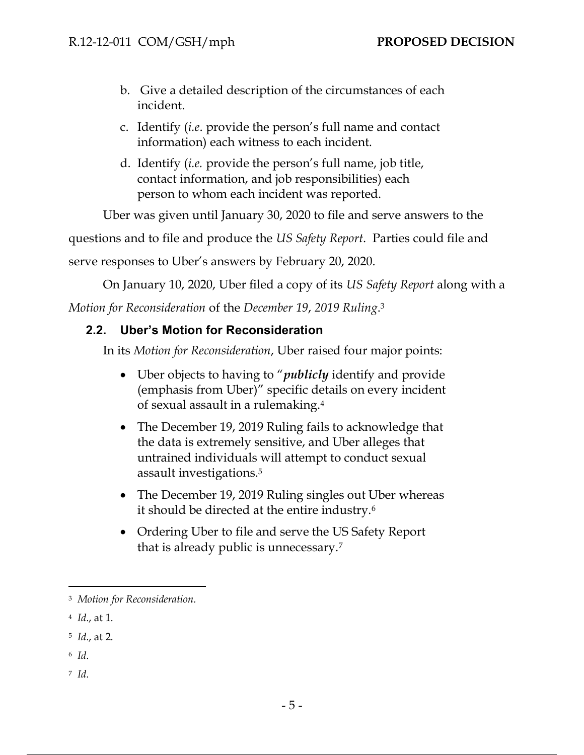- b. Give a detailed description of the circumstances of each incident.
- c. Identify (*i.e*. provide the person's full name and contact information) each witness to each incident.
- d. Identify (*i.e.* provide the person's full name, job title, contact information, and job responsibilities) each person to whom each incident was reported.

Uber was given until January 30, 2020 to file and serve answers to the

questions and to file and produce the *US Safety Report*. Parties could file and

serve responses to Uber's answers by February 20, 2020.

On January 10, 2020, Uber filed a copy of its *US Safety Report* along with a

*Motion for Reconsideration* of the *December 19*, *2019 Ruling*. 3

## **2.2. Uber's Motion for Reconsideration**

In its *Motion for Reconsideration*, Uber raised four major points:

- Uber objects to having to "*publicly* identify and provide (emphasis from Uber)" specific details on every incident of sexual assault in a rulemaking.<sup>4</sup>
- The December 19, 2019 Ruling fails to acknowledge that the data is extremely sensitive, and Uber alleges that untrained individuals will attempt to conduct sexual assault investigations.<sup>5</sup>
- The December 19, 2019 Ruling singles out Uber whereas it should be directed at the entire industry.<sup>6</sup>
- Ordering Uber to file and serve the US Safety Report that is already public is unnecessary.<sup>7</sup>

<sup>3</sup> *Motion for Reconsideration.*

<sup>4</sup> *Id*., at 1.

<sup>5</sup> *Id*., at 2.

<sup>6</sup> *Id*.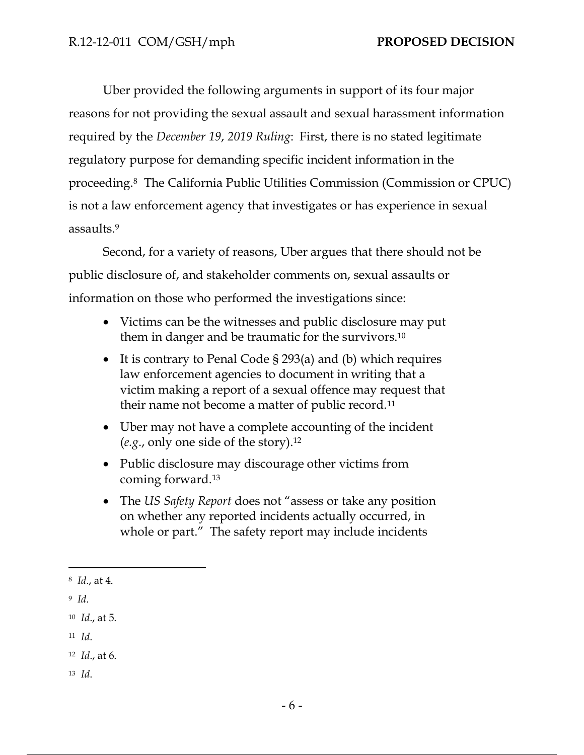Uber provided the following arguments in support of its four major reasons for not providing the sexual assault and sexual harassment information required by the *December 19*, *2019 Ruling*: First, there is no stated legitimate regulatory purpose for demanding specific incident information in the proceeding.8 The California Public Utilities Commission (Commission or CPUC) is not a law enforcement agency that investigates or has experience in sexual assaults.<sup>9</sup>

Second, for a variety of reasons, Uber argues that there should not be public disclosure of, and stakeholder comments on, sexual assaults or information on those who performed the investigations since:

- Victims can be the witnesses and public disclosure may put them in danger and be traumatic for the survivors.<sup>10</sup>
- It is contrary to Penal Code § 293(a) and (b) which requires law enforcement agencies to document in writing that a victim making a report of a sexual offence may request that their name not become a matter of public record.<sup>11</sup>
- Uber may not have a complete accounting of the incident (*e.g*., only one side of the story).<sup>12</sup>
- Public disclosure may discourage other victims from coming forward.<sup>13</sup>
- The *US Safety Report* does not "assess or take any position on whether any reported incidents actually occurred, in whole or part." The safety report may include incidents

<sup>11</sup> *Id*.

<sup>8</sup> *Id*., at 4.

<sup>9</sup> *Id*.

<sup>10</sup> *Id*., at 5.

<sup>12</sup> *Id*., at 6.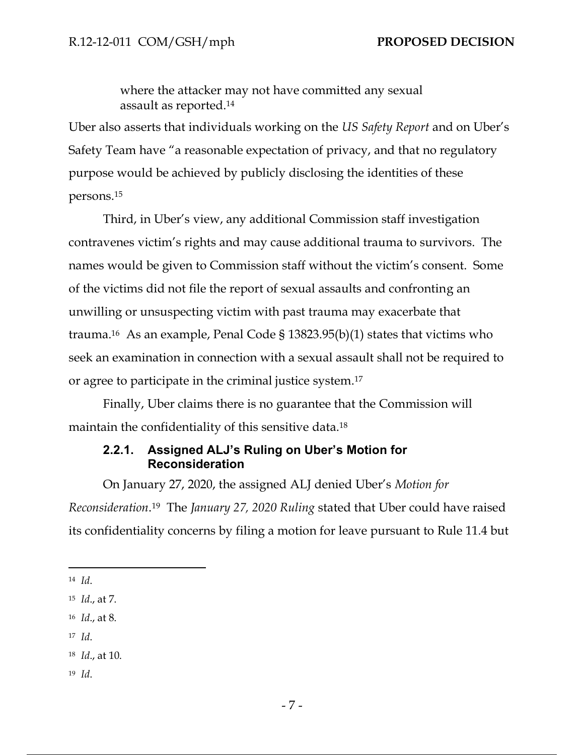where the attacker may not have committed any sexual assault as reported.<sup>14</sup>

Uber also asserts that individuals working on the *US Safety Report* and on Uber's Safety Team have "a reasonable expectation of privacy, and that no regulatory purpose would be achieved by publicly disclosing the identities of these persons.<sup>15</sup>

Third, in Uber's view, any additional Commission staff investigation contravenes victim's rights and may cause additional trauma to survivors. The names would be given to Commission staff without the victim's consent. Some of the victims did not file the report of sexual assaults and confronting an unwilling or unsuspecting victim with past trauma may exacerbate that trauma.16 As an example, Penal Code § 13823.95(b)(1) states that victims who seek an examination in connection with a sexual assault shall not be required to or agree to participate in the criminal justice system.<sup>17</sup>

Finally, Uber claims there is no guarantee that the Commission will maintain the confidentiality of this sensitive data.<sup>18</sup>

### **2.2.1. Assigned ALJ's Ruling on Uber's Motion for Reconsideration**

On January 27, 2020, the assigned ALJ denied Uber's *Motion for Reconsideration*. <sup>19</sup> The *January 27, 2020 Ruling* stated that Uber could have raised its confidentiality concerns by filing a motion for leave pursuant to Rule 11.4 but

<sup>17</sup> *Id*.

<sup>14</sup> *Id*.

<sup>15</sup> *Id*., at 7.

<sup>16</sup> *Id*., at 8.

<sup>18</sup> *Id*., at 10.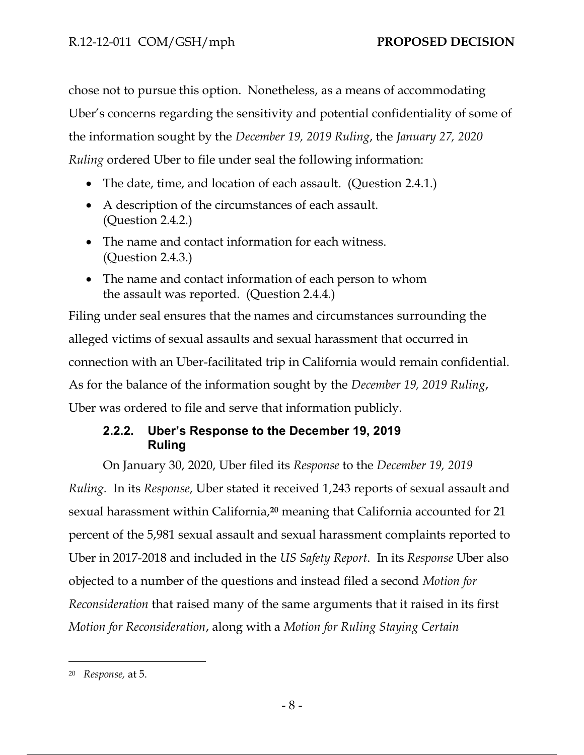chose not to pursue this option. Nonetheless, as a means of accommodating Uber's concerns regarding the sensitivity and potential confidentiality of some of the information sought by the *December 19, 2019 Ruling*, the *January 27, 2020 Ruling* ordered Uber to file under seal the following information:

- The date, time, and location of each assault. (Question 2.4.1.)
- A description of the circumstances of each assault. (Question 2.4.2.)
- The name and contact information for each witness. (Question 2.4.3.)
- The name and contact information of each person to whom the assault was reported. (Question 2.4.4.)

Filing under seal ensures that the names and circumstances surrounding the alleged victims of sexual assaults and sexual harassment that occurred in connection with an Uber-facilitated trip in California would remain confidential. As for the balance of the information sought by the *December 19, 2019 Ruling*, Uber was ordered to file and serve that information publicly.

## **2.2.2. Uber's Response to the December 19, 2019 Ruling**

On January 30, 2020, Uber filed its *Response* to the *December 19, 2019 Ruling.* In its *Response*, Uber stated it received 1,243 reports of sexual assault and sexual harassment within California,**<sup>20</sup>** meaning that California accounted for 21 percent of the 5,981 sexual assault and sexual harassment complaints reported to Uber in 2017-2018 and included in the *US Safety Report*. In its *Response* Uber also objected to a number of the questions and instead filed a second *Motion for Reconsideration* that raised many of the same arguments that it raised in its first *Motion for Reconsideration*, along with a *Motion for Ruling Staying Certain* 

<sup>20</sup> *Response,* at 5.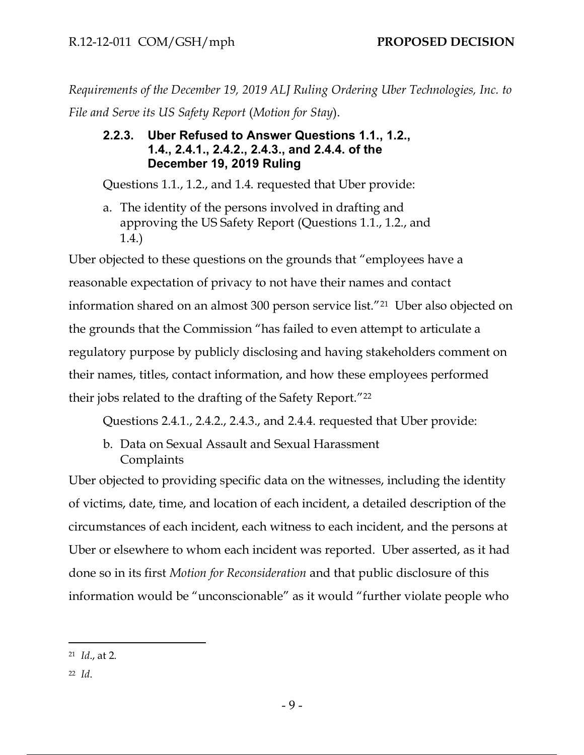*Requirements of the December 19, 2019 ALJ Ruling Ordering Uber Technologies, Inc. to File and Serve its US Safety Report* (*Motion for Stay*).

## **2.2.3. Uber Refused to Answer Questions 1.1., 1.2., 1.4., 2.4.1., 2.4.2., 2.4.3., and 2.4.4. of the December 19, 2019 Ruling**

Questions 1.1., 1.2., and 1.4. requested that Uber provide:

a. The identity of the persons involved in drafting and approving the US Safety Report (Questions 1.1., 1.2., and 1.4.)

Uber objected to these questions on the grounds that "employees have a reasonable expectation of privacy to not have their names and contact information shared on an almost 300 person service list."21 Uber also objected on the grounds that the Commission "has failed to even attempt to articulate a regulatory purpose by publicly disclosing and having stakeholders comment on their names, titles, contact information, and how these employees performed their jobs related to the drafting of the Safety Report."<sup>22</sup>

Questions 2.4.1., 2.4.2., 2.4.3., and 2.4.4. requested that Uber provide:

b. Data on Sexual Assault and Sexual Harassment **Complaints** 

Uber objected to providing specific data on the witnesses, including the identity of victims, date, time, and location of each incident, a detailed description of the circumstances of each incident, each witness to each incident, and the persons at Uber or elsewhere to whom each incident was reported. Uber asserted, as it had done so in its first *Motion for Reconsideration* and that public disclosure of this information would be "unconscionable" as it would "further violate people who

<sup>21</sup> *Id*., at 2.

<sup>22</sup> *Id*.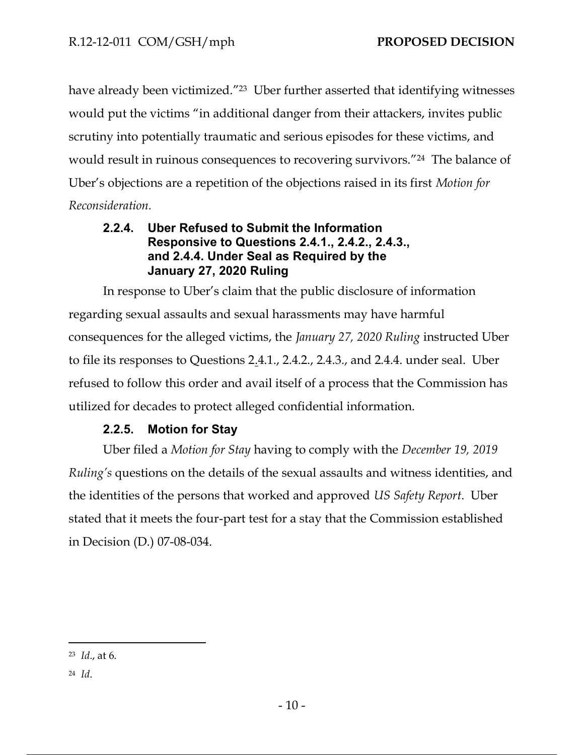have already been victimized."<sup>23</sup> Uber further asserted that identifying witnesses would put the victims "in additional danger from their attackers, invites public scrutiny into potentially traumatic and serious episodes for these victims, and would result in ruinous consequences to recovering survivors."24 The balance of Uber's objections are a repetition of the objections raised in its first *Motion for Reconsideration.*

#### **2.2.4. Uber Refused to Submit the Information Responsive to Questions 2.4.1., 2.4.2., 2.4.3., and 2.4.4. Under Seal as Required by the January 27, 2020 Ruling**

In response to Uber's claim that the public disclosure of information regarding sexual assaults and sexual harassments may have harmful consequences for the alleged victims, the *January 27, 2020 Ruling* instructed Uber to file its responses to Questions 2.4.1., 2.4.2., 2.4.3., and 2.4.4. under seal. Uber refused to follow this order and avail itself of a process that the Commission has utilized for decades to protect alleged confidential information.

## **2.2.5. Motion for Stay**

Uber filed a *Motion for Stay* having to comply with the *December 19, 2019 Ruling's* questions on the details of the sexual assaults and witness identities, and the identities of the persons that worked and approved *US Safety Report*. Uber stated that it meets the four-part test for a stay that the Commission established in Decision (D.) 07-08-034.

<sup>23</sup> *Id*., at 6.

<sup>24</sup> *Id*.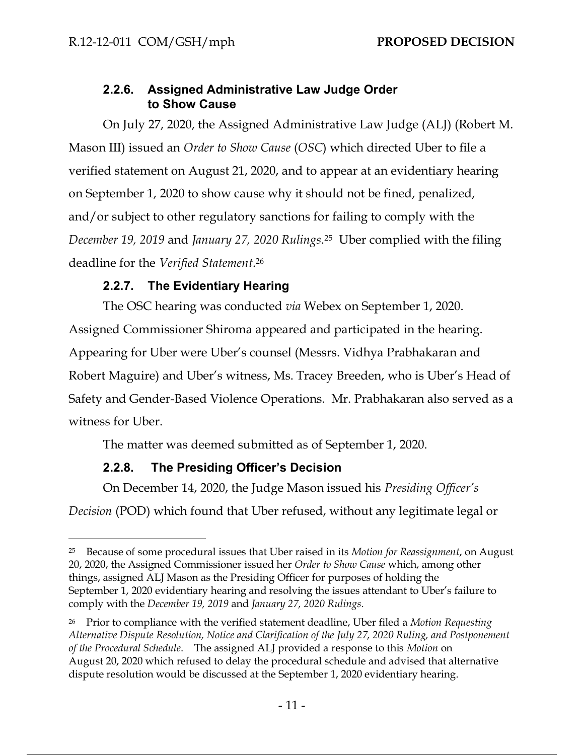### **2.2.6. Assigned Administrative Law Judge Order to Show Cause**

On July 27, 2020, the Assigned Administrative Law Judge (ALJ) (Robert M. Mason III) issued an *Order to Show Cause* (*OSC*) which directed Uber to file a verified statement on August 21, 2020, and to appear at an evidentiary hearing on September 1, 2020 to show cause why it should not be fined, penalized, and/or subject to other regulatory sanctions for failing to comply with the *December 19, 2019* and *January 27, 2020 Rulings*. <sup>25</sup> Uber complied with the filing deadline for the *Verified Statement*. 26

## **2.2.7. The Evidentiary Hearing**

The OSC hearing was conducted *via* Webex on September 1, 2020. Assigned Commissioner Shiroma appeared and participated in the hearing. Appearing for Uber were Uber's counsel (Messrs. Vidhya Prabhakaran and Robert Maguire) and Uber's witness, Ms. Tracey Breeden, who is Uber's Head of Safety and Gender-Based Violence Operations. Mr. Prabhakaran also served as a witness for Uber.

The matter was deemed submitted as of September 1, 2020.

# **2.2.8. The Presiding Officer's Decision**

On December 14, 2020, the Judge Mason issued his *Presiding Officer's Decision* (POD) which found that Uber refused, without any legitimate legal or

<sup>25</sup> Because of some procedural issues that Uber raised in its *Motion for Reassignment*, on August 20, 2020, the Assigned Commissioner issued her *Order to Show Cause* which, among other things, assigned ALJ Mason as the Presiding Officer for purposes of holding the September 1, 2020 evidentiary hearing and resolving the issues attendant to Uber's failure to comply with the *December 19, 2019* and *January 27, 2020 Rulings*.

<sup>26</sup> Prior to compliance with the verified statement deadline, Uber filed a *Motion Requesting Alternative Dispute Resolution, Notice and Clarification of the July 27, 2020 Ruling, and Postponement of the Procedural Schedule*. The assigned ALJ provided a response to this *Motion* on August 20, 2020 which refused to delay the procedural schedule and advised that alternative dispute resolution would be discussed at the September 1, 2020 evidentiary hearing.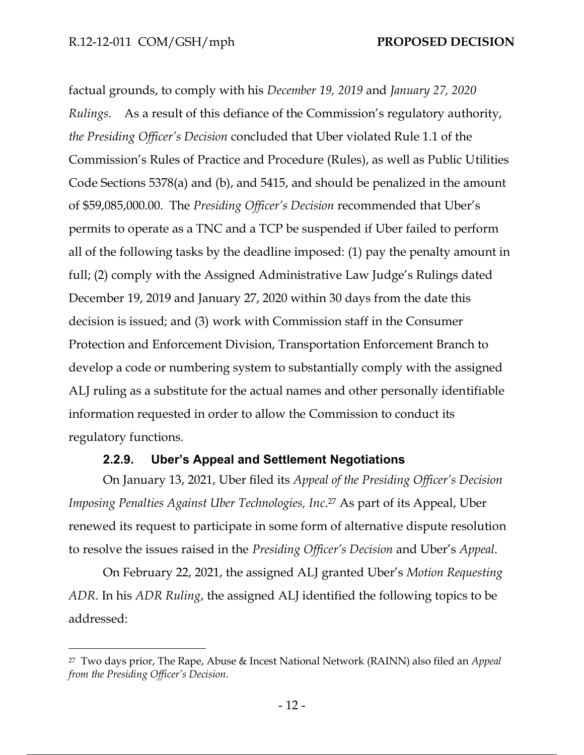factual grounds, to comply with his *December 19, 2019* and *January 27, 2020 Rulings.* As a result of this defiance of the Commission's regulatory authority, *the Presiding Officer's Decision* concluded that Uber violated Rule 1.1 of the Commission's Rules of Practice and Procedure (Rules), as well as Public Utilities Code Sections 5378(a) and (b), and 5415, and should be penalized in the amount of \$59,085,000.00. The *Presiding Officer's Decision* recommended that Uber's permits to operate as a TNC and a TCP be suspended if Uber failed to perform all of the following tasks by the deadline imposed: (1) pay the penalty amount in full; (2) comply with the Assigned Administrative Law Judge's Rulings dated December 19, 2019 and January 27, 2020 within 30 days from the date this decision is issued; and (3) work with Commission staff in the Consumer Protection and Enforcement Division, Transportation Enforcement Branch to develop a code or numbering system to substantially comply with the assigned ALJ ruling as a substitute for the actual names and other personally identifiable information requested in order to allow the Commission to conduct its regulatory functions.

#### **2.2.9. Uber's Appeal and Settlement Negotiations**

On January 13, 2021, Uber filed its *Appeal of the Presiding Officer's Decision Imposing Penalties Against Uber Technologies, Inc*. <sup>27</sup> As part of its Appeal, Uber renewed its request to participate in some form of alternative dispute resolution to resolve the issues raised in the *Presiding Officer's Decision* and Uber's *Appeal*.

On February 22, 2021, the assigned ALJ granted Uber's *Motion Requesting ADR*. In his *ADR Ruling*, the assigned ALJ identified the following topics to be addressed:

<sup>27</sup> Two days prior, The Rape, Abuse & Incest National Network (RAINN) also filed an *Appeal from the Presiding Officer's Decision*.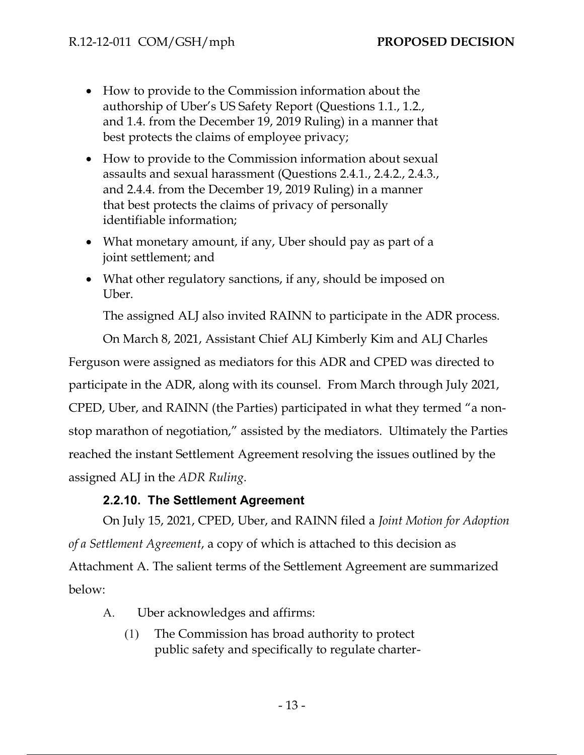- How to provide to the Commission information about the authorship of Uber's US Safety Report (Questions 1.1., 1.2., and 1.4. from the December 19, 2019 Ruling) in a manner that best protects the claims of employee privacy;
- How to provide to the Commission information about sexual assaults and sexual harassment (Questions 2.4.1., 2.4.2., 2.4.3., and 2.4.4. from the December 19, 2019 Ruling) in a manner that best protects the claims of privacy of personally identifiable information;
- What monetary amount, if any, Uber should pay as part of a joint settlement; and
- What other regulatory sanctions, if any, should be imposed on Uber.

The assigned ALJ also invited RAINN to participate in the ADR process.

On March 8, 2021, Assistant Chief ALJ Kimberly Kim and ALJ Charles

Ferguson were assigned as mediators for this ADR and CPED was directed to

participate in the ADR, along with its counsel. From March through July 2021,

CPED, Uber, and RAINN (the Parties) participated in what they termed "a nonstop marathon of negotiation," assisted by the mediators. Ultimately the Parties reached the instant Settlement Agreement resolving the issues outlined by the assigned ALJ in the *ADR Ruling*.

#### **2.2.10. The Settlement Agreement**

On July 15, 2021, CPED, Uber, and RAINN filed a *Joint Motion for Adoption of a Settlement Agreement*, a copy of which is attached to this decision as Attachment A. The salient terms of the Settlement Agreement are summarized below:

- A. Uber acknowledges and affirms:
	- (1) The Commission has broad authority to protect public safety and specifically to regulate charter-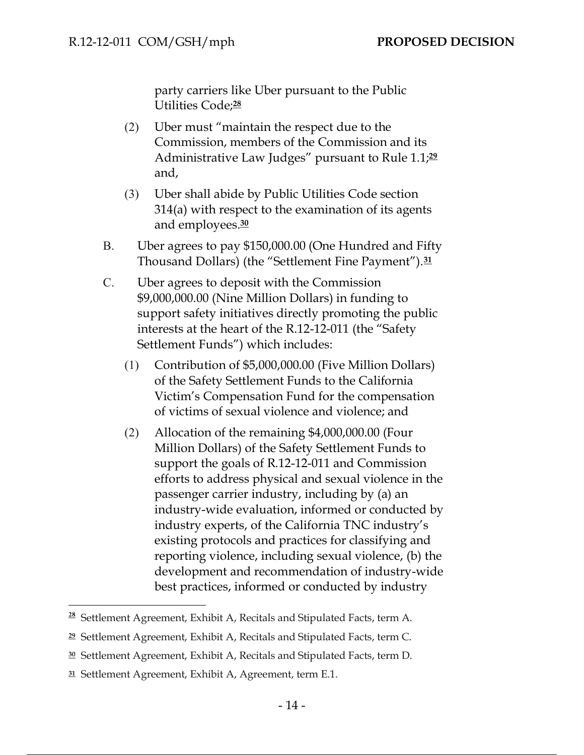party carriers like Uber pursuant to the Public Utilities Code;**<sup>28</sup>**

- (2) Uber must "maintain the respect due to the Commission, members of the Commission and its Administrative Law Judges" pursuant to Rule 1.1;**<sup>29</sup>** and,
- (3) Uber shall abide by Public Utilities Code section 314(a) with respect to the examination of its agents and employees.**<sup>30</sup>**
- B. Uber agrees to pay \$150,000.00 (One Hundred and Fifty Thousand Dollars) (the "Settlement Fine Payment").**<sup>31</sup>**
- C. Uber agrees to deposit with the Commission \$9,000,000.00 (Nine Million Dollars) in funding to support safety initiatives directly promoting the public interests at the heart of the R.12-12-011 (the "Safety Settlement Funds") which includes:
	- (1) Contribution of \$5,000,000.00 (Five Million Dollars) of the Safety Settlement Funds to the California Victim's Compensation Fund for the compensation of victims of sexual violence and violence; and
	- (2) Allocation of the remaining \$4,000,000.00 (Four Million Dollars) of the Safety Settlement Funds to support the goals of R.12-12-011 and Commission efforts to address physical and sexual violence in the passenger carrier industry, including by (a) an industry-wide evaluation, informed or conducted by industry experts, of the California TNC industry's existing protocols and practices for classifying and reporting violence, including sexual violence, (b) the development and recommendation of industry-wide best practices, informed or conducted by industry

**<sup>28</sup>** Settlement Agreement, Exhibit A, Recitals and Stipulated Facts, term A.

**<sup>29</sup>** Settlement Agreement, Exhibit A, Recitals and Stipulated Facts, term C.

**<sup>30</sup>** Settlement Agreement, Exhibit A, Recitals and Stipulated Facts, term D.

**<sup>31</sup>** Settlement Agreement, Exhibit A, Agreement, term E.1.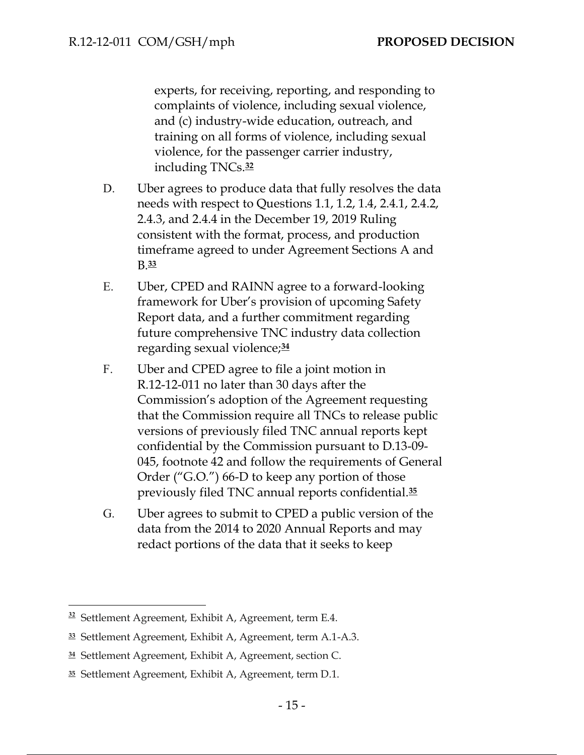experts, for receiving, reporting, and responding to complaints of violence, including sexual violence, and (c) industry-wide education, outreach, and training on all forms of violence, including sexual violence, for the passenger carrier industry, including TNCs.**<sup>32</sup>**

- D. Uber agrees to produce data that fully resolves the data needs with respect to Questions 1.1, 1.2, 1.4, 2.4.1, 2.4.2, 2.4.3, and 2.4.4 in the December 19, 2019 Ruling consistent with the format, process, and production timeframe agreed to under Agreement Sections A and B.**<sup>33</sup>**
- E. Uber, CPED and RAINN agree to a forward-looking framework for Uber's provision of upcoming Safety Report data, and a further commitment regarding future comprehensive TNC industry data collection regarding sexual violence;**<sup>34</sup>**
- F. Uber and CPED agree to file a joint motion in R.12-12-011 no later than 30 days after the Commission's adoption of the Agreement requesting that the Commission require all TNCs to release public versions of previously filed TNC annual reports kept confidential by the Commission pursuant to D.13-09- 045, footnote 42 and follow the requirements of General Order ("G.O.") 66-D to keep any portion of those previously filed TNC annual reports confidential.**<sup>35</sup>**
- G. Uber agrees to submit to CPED a public version of the data from the 2014 to 2020 Annual Reports and may redact portions of the data that it seeks to keep

**<sup>32</sup>** Settlement Agreement, Exhibit A, Agreement, term E.4.

**<sup>33</sup>** Settlement Agreement, Exhibit A, Agreement, term A.1-A.3.

**<sup>34</sup>** Settlement Agreement, Exhibit A, Agreement, section C.

**<sup>35</sup>** Settlement Agreement, Exhibit A, Agreement, term D.1.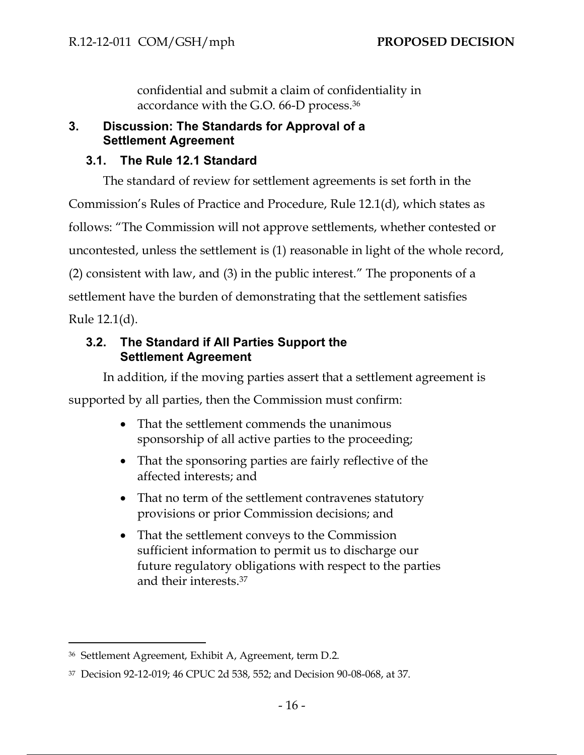confidential and submit a claim of confidentiality in accordance with the G.O. 66-D process.<sup>36</sup>

## **3. Discussion: The Standards for Approval of a Settlement Agreement**

## **3.1. The Rule 12.1 Standard**

The standard of review for settlement agreements is set forth in the Commission's Rules of Practice and Procedure, Rule 12.1(d), which states as follows: "The Commission will not approve settlements, whether contested or uncontested, unless the settlement is (1) reasonable in light of the whole record, (2) consistent with law, and (3) in the public interest." The proponents of a settlement have the burden of demonstrating that the settlement satisfies Rule 12.1(d).

## **3.2. The Standard if All Parties Support the Settlement Agreement**

In addition, if the moving parties assert that a settlement agreement is supported by all parties, then the Commission must confirm:

- That the settlement commends the unanimous sponsorship of all active parties to the proceeding;
- That the sponsoring parties are fairly reflective of the affected interests; and
- That no term of the settlement contravenes statutory provisions or prior Commission decisions; and
- That the settlement conveys to the Commission sufficient information to permit us to discharge our future regulatory obligations with respect to the parties and their interests.<sup>37</sup>

<sup>36</sup> Settlement Agreement, Exhibit A, Agreement, term D.2.

<sup>37</sup> Decision 92-12-019; 46 CPUC 2d 538, 552; and Decision 90-08-068, at 37.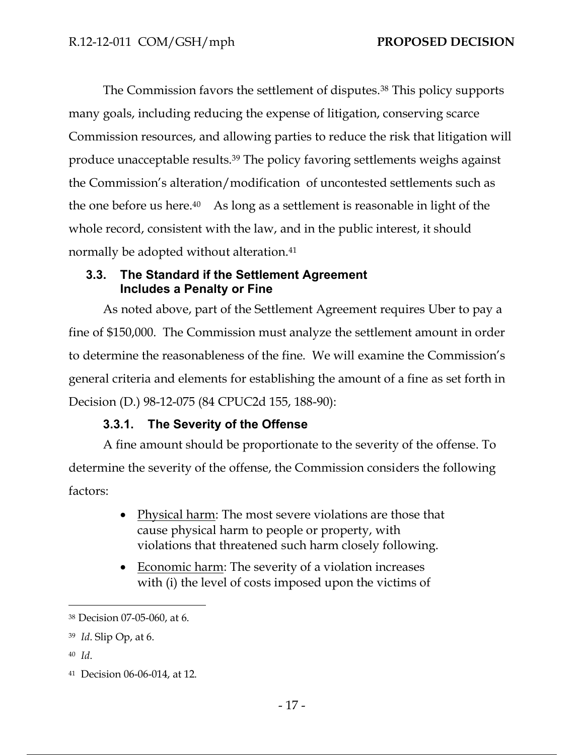The Commission favors the settlement of disputes.<sup>38</sup> This policy supports many goals, including reducing the expense of litigation, conserving scarce Commission resources, and allowing parties to reduce the risk that litigation will produce unacceptable results.<sup>39</sup> The policy favoring settlements weighs against the Commission's alteration/modification of uncontested settlements such as the one before us here.40 As long as a settlement is reasonable in light of the whole record, consistent with the law, and in the public interest, it should normally be adopted without alteration.<sup>41</sup>

### **3.3. The Standard if the Settlement Agreement Includes a Penalty or Fine**

As noted above, part of the Settlement Agreement requires Uber to pay a fine of \$150,000. The Commission must analyze the settlement amount in order to determine the reasonableness of the fine. We will examine the Commission's general criteria and elements for establishing the amount of a fine as set forth in Decision (D.) 98-12-075 (84 CPUC2d 155, 188-90):

## **3.3.1. The Severity of the Offense**

A fine amount should be proportionate to the severity of the offense. To determine the severity of the offense, the Commission considers the following factors:

- Physical harm: The most severe violations are those that cause physical harm to people or property, with violations that threatened such harm closely following.
- Economic harm: The severity of a violation increases with (i) the level of costs imposed upon the victims of

<sup>38</sup> Decision 07-05-060, at 6.

<sup>39</sup> *Id*. Slip Op, at 6.

<sup>41</sup> Decision 06-06-014, at 12.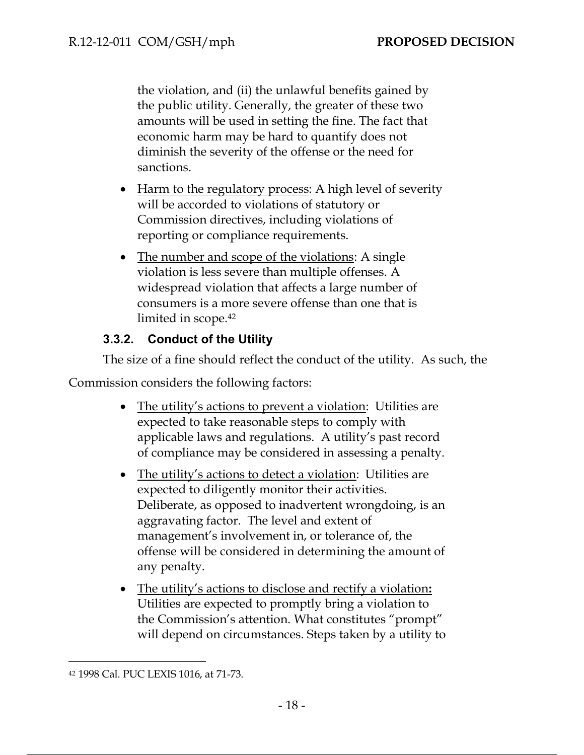the violation, and (ii) the unlawful benefits gained by the public utility. Generally, the greater of these two amounts will be used in setting the fine. The fact that economic harm may be hard to quantify does not diminish the severity of the offense or the need for sanctions.

- Harm to the regulatory process: A high level of severity will be accorded to violations of statutory or Commission directives, including violations of reporting or compliance requirements.
- The number and scope of the violations: A single violation is less severe than multiple offenses. A widespread violation that affects a large number of consumers is a more severe offense than one that is limited in scope.<sup>42</sup>

## **3.3.2. Conduct of the Utility**

The size of a fine should reflect the conduct of the utility. As such, the

Commission considers the following factors:

- The utility's actions to prevent a violation: Utilities are expected to take reasonable steps to comply with applicable laws and regulations. A utility's past record of compliance may be considered in assessing a penalty.
- The utility's actions to detect a violation: Utilities are expected to diligently monitor their activities. Deliberate, as opposed to inadvertent wrongdoing, is an aggravating factor. The level and extent of management's involvement in, or tolerance of, the offense will be considered in determining the amount of any penalty.
- The utility's actions to disclose and rectify a violation**:**  Utilities are expected to promptly bring a violation to the Commission's attention. What constitutes "prompt" will depend on circumstances. Steps taken by a utility to

<sup>42</sup> 1998 Cal. PUC LEXIS 1016, at 71-73.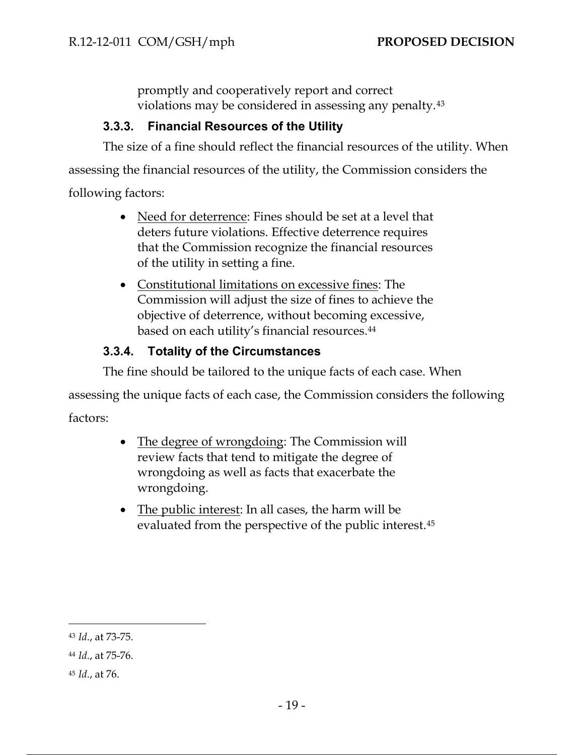promptly and cooperatively report and correct violations may be considered in assessing any penalty.<sup>43</sup>

## **3.3.3. Financial Resources of the Utility**

The size of a fine should reflect the financial resources of the utility. When assessing the financial resources of the utility, the Commission considers the following factors:

- Need for deterrence: Fines should be set at a level that deters future violations. Effective deterrence requires that the Commission recognize the financial resources of the utility in setting a fine.
- Constitutional limitations on excessive fines: The Commission will adjust the size of fines to achieve the objective of deterrence, without becoming excessive, based on each utility's financial resources.<sup>44</sup>

## **3.3.4. Totality of the Circumstances**

The fine should be tailored to the unique facts of each case. When

assessing the unique facts of each case, the Commission considers the following factors:

- The degree of wrongdoing: The Commission will review facts that tend to mitigate the degree of wrongdoing as well as facts that exacerbate the wrongdoing.
- The public interest: In all cases, the harm will be evaluated from the perspective of the public interest.<sup>45</sup>

<sup>43</sup> *Id*., at 73-75.

<sup>44</sup> *Id*., at 75-76.

<sup>45</sup> *Id*., at 76.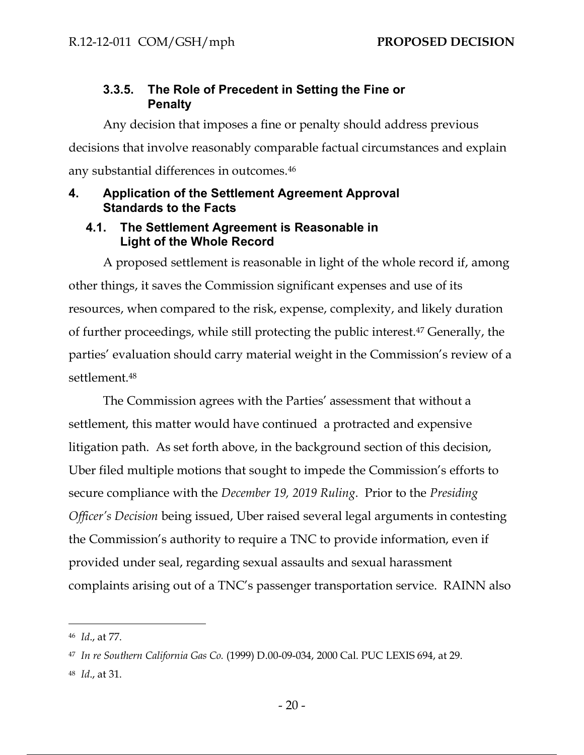### **3.3.5. The Role of Precedent in Setting the Fine or Penalty**

Any decision that imposes a fine or penalty should address previous decisions that involve reasonably comparable factual circumstances and explain any substantial differences in outcomes.<sup>46</sup>

#### **4. Application of the Settlement Agreement Approval Standards to the Facts**

#### **4.1. The Settlement Agreement is Reasonable in Light of the Whole Record**

A proposed settlement is reasonable in light of the whole record if, among other things, it saves the Commission significant expenses and use of its resources, when compared to the risk, expense, complexity, and likely duration of further proceedings, while still protecting the public interest.<sup>47</sup> Generally, the parties' evaluation should carry material weight in the Commission's review of a settlement.<sup>48</sup>

The Commission agrees with the Parties' assessment that without a settlement, this matter would have continued a protracted and expensive litigation path. As set forth above, in the background section of this decision, Uber filed multiple motions that sought to impede the Commission's efforts to secure compliance with the *December 19, 2019 Ruling*. Prior to the *Presiding Officer's Decision* being issued, Uber raised several legal arguments in contesting the Commission's authority to require a TNC to provide information, even if provided under seal, regarding sexual assaults and sexual harassment complaints arising out of a TNC's passenger transportation service. RAINN also

<sup>48</sup> *Id*., at 31.

<sup>46</sup> *Id*., at 77.

<sup>47</sup> *In re Southern California Gas Co.* (1999) D.00-09-034, 2000 Cal. PUC LEXIS 694, at 29.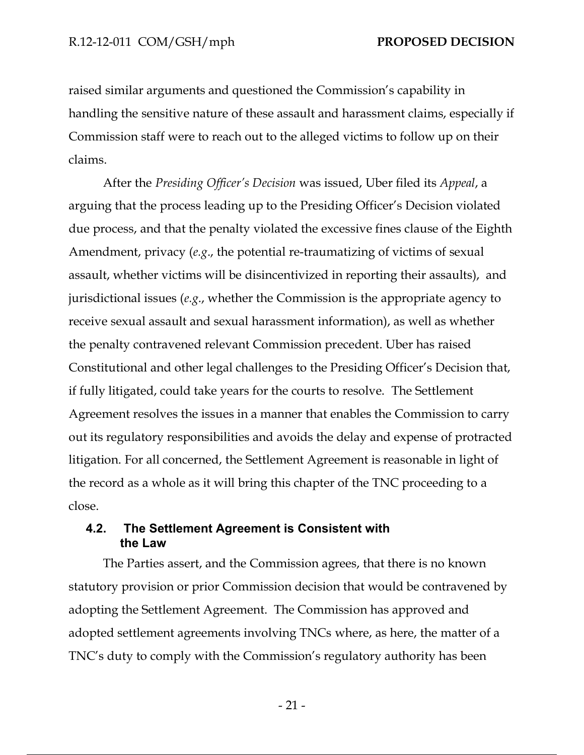raised similar arguments and questioned the Commission's capability in handling the sensitive nature of these assault and harassment claims, especially if Commission staff were to reach out to the alleged victims to follow up on their claims.

After the *Presiding Officer's Decision* was issued, Uber filed its *Appeal*, a arguing that the process leading up to the Presiding Officer's Decision violated due process, and that the penalty violated the excessive fines clause of the Eighth Amendment, privacy (*e.g*., the potential re-traumatizing of victims of sexual assault, whether victims will be disincentivized in reporting their assaults), and jurisdictional issues (*e.g*., whether the Commission is the appropriate agency to receive sexual assault and sexual harassment information), as well as whether the penalty contravened relevant Commission precedent. Uber has raised Constitutional and other legal challenges to the Presiding Officer's Decision that, if fully litigated, could take years for the courts to resolve. The Settlement Agreement resolves the issues in a manner that enables the Commission to carry out its regulatory responsibilities and avoids the delay and expense of protracted litigation. For all concerned, the Settlement Agreement is reasonable in light of the record as a whole as it will bring this chapter of the TNC proceeding to a close.

#### **4.2. The Settlement Agreement is Consistent with the Law**

The Parties assert, and the Commission agrees, that there is no known statutory provision or prior Commission decision that would be contravened by adopting the Settlement Agreement. The Commission has approved and adopted settlement agreements involving TNCs where, as here, the matter of a TNC's duty to comply with the Commission's regulatory authority has been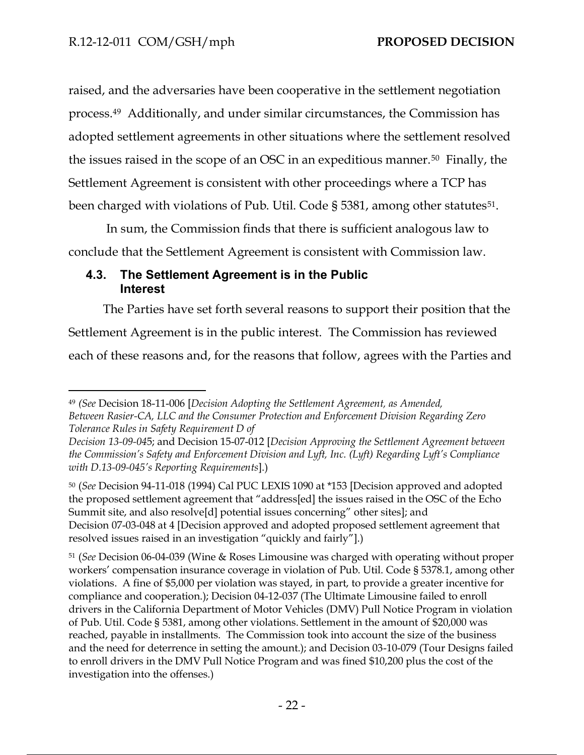raised, and the adversaries have been cooperative in the settlement negotiation process. 49 Additionally, and under similar circumstances, the Commission has adopted settlement agreements in other situations where the settlement resolved the issues raised in the scope of an OSC in an expeditious manner.<sup>50</sup> Finally, the Settlement Agreement is consistent with other proceedings where a TCP has been charged with violations of Pub. Util. Code § 5381, among other statutes<sup>51</sup>.

In sum, the Commission finds that there is sufficient analogous law to conclude that the Settlement Agreement is consistent with Commission law.

#### **4.3. The Settlement Agreement is in the Public Interest**

The Parties have set forth several reasons to support their position that the Settlement Agreement is in the public interest. The Commission has reviewed each of these reasons and, for the reasons that follow, agrees with the Parties and

<sup>49</sup> *(See* Decision 18-11-006 [*Decision Adopting the Settlement Agreement, as Amended, Between Rasier-CA, LLC and the Consumer Protection and Enforcement Division Regarding Zero Tolerance Rules in Safety Requirement D of* 

*Decision 13-09-04*5; and Decision 15-07-012 [*Decision Approving the Settlement Agreement between the Commission's Safety and Enforcement Division and Lyft, Inc. (Lyft) Regarding Lyft's Compliance with D.13-09-045's Reporting Requirements*].)

<sup>50</sup> (*See* Decision 94-11-018 (1994) Cal PUC LEXIS 1090 at \*153 [Decision approved and adopted the proposed settlement agreement that "address[ed] the issues raised in the OSC of the Echo Summit site, and also resolve[d] potential issues concerning" other sites]; and Decision 07-03-048 at 4 [Decision approved and adopted proposed settlement agreement that resolved issues raised in an investigation "quickly and fairly"].)

<sup>51</sup> (*See* Decision 06-04-039 (Wine & Roses Limousine was charged with operating without proper workers' compensation insurance coverage in violation of Pub. Util. Code § 5378.1, among other violations. A fine of \$5,000 per violation was stayed, in part, to provide a greater incentive for compliance and cooperation.); Decision 04-12-037 (The Ultimate Limousine failed to enroll drivers in the California Department of Motor Vehicles (DMV) Pull Notice Program in violation of Pub. Util. Code § 5381, among other violations. Settlement in the amount of \$20,000 was reached, payable in installments. The Commission took into account the size of the business and the need for deterrence in setting the amount.); and Decision 03-10-079 (Tour Designs failed to enroll drivers in the DMV Pull Notice Program and was fined \$10,200 plus the cost of the investigation into the offenses.)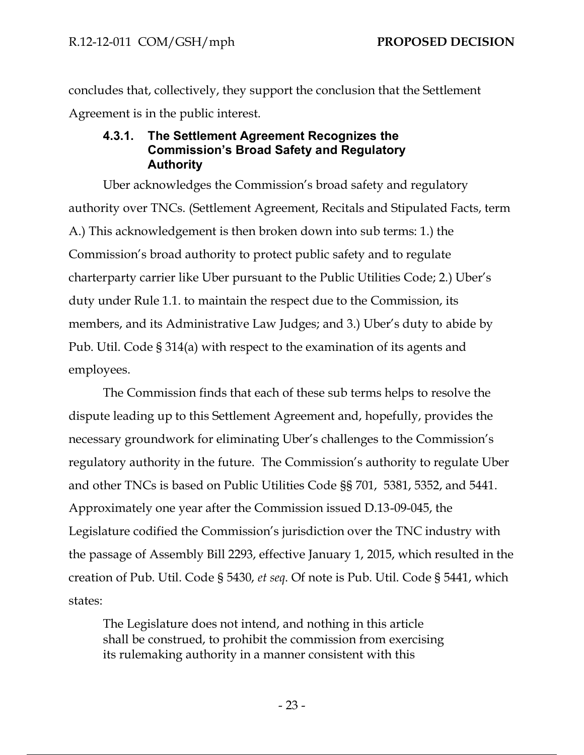concludes that, collectively, they support the conclusion that the Settlement Agreement is in the public interest.

#### **4.3.1. The Settlement Agreement Recognizes the Commission's Broad Safety and Regulatory Authority**

Uber acknowledges the Commission's broad safety and regulatory authority over TNCs. (Settlement Agreement, Recitals and Stipulated Facts, term A.) This acknowledgement is then broken down into sub terms: 1.) the Commission's broad authority to protect public safety and to regulate charterparty carrier like Uber pursuant to the Public Utilities Code; 2.) Uber's duty under Rule 1.1. to maintain the respect due to the Commission, its members, and its Administrative Law Judges; and 3.) Uber's duty to abide by Pub. Util. Code § 314(a) with respect to the examination of its agents and employees.

The Commission finds that each of these sub terms helps to resolve the dispute leading up to this Settlement Agreement and, hopefully, provides the necessary groundwork for eliminating Uber's challenges to the Commission's regulatory authority in the future. The Commission's authority to regulate Uber and other TNCs is based on Public Utilities Code §§ 701, 5381, 5352, and 5441. Approximately one year after the Commission issued D.13-09-045, the Legislature codified the Commission's jurisdiction over the TNC industry with the passage of Assembly Bill 2293, effective January 1, 2015, which resulted in the creation of Pub. Util. Code § 5430, *et seq*. Of note is Pub. Util. Code § 5441, which states:

The Legislature does not intend, and nothing in this article shall be construed, to prohibit the commission from exercising its rulemaking authority in a manner consistent with this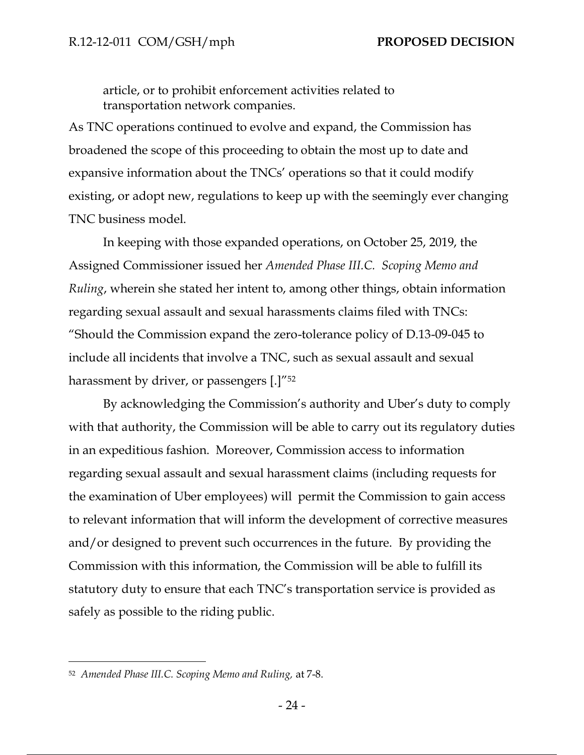article, or to prohibit enforcement activities related to transportation network companies.

As TNC operations continued to evolve and expand, the Commission has broadened the scope of this proceeding to obtain the most up to date and expansive information about the TNCs' operations so that it could modify existing, or adopt new, regulations to keep up with the seemingly ever changing TNC business model.

In keeping with those expanded operations, on October 25, 2019, the Assigned Commissioner issued her *Amended Phase III.C. Scoping Memo and Ruling*, wherein she stated her intent to, among other things, obtain information regarding sexual assault and sexual harassments claims filed with TNCs: "Should the Commission expand the zero-tolerance policy of D.13-09-045 to include all incidents that involve a TNC, such as sexual assault and sexual harassment by driver, or passengers [.]"<sup>52</sup>

By acknowledging the Commission's authority and Uber's duty to comply with that authority, the Commission will be able to carry out its regulatory duties in an expeditious fashion. Moreover, Commission access to information regarding sexual assault and sexual harassment claims (including requests for the examination of Uber employees) will permit the Commission to gain access to relevant information that will inform the development of corrective measures and/or designed to prevent such occurrences in the future. By providing the Commission with this information, the Commission will be able to fulfill its statutory duty to ensure that each TNC's transportation service is provided as safely as possible to the riding public.

<sup>52</sup> *Amended Phase III.C. Scoping Memo and Ruling,* at 7-8.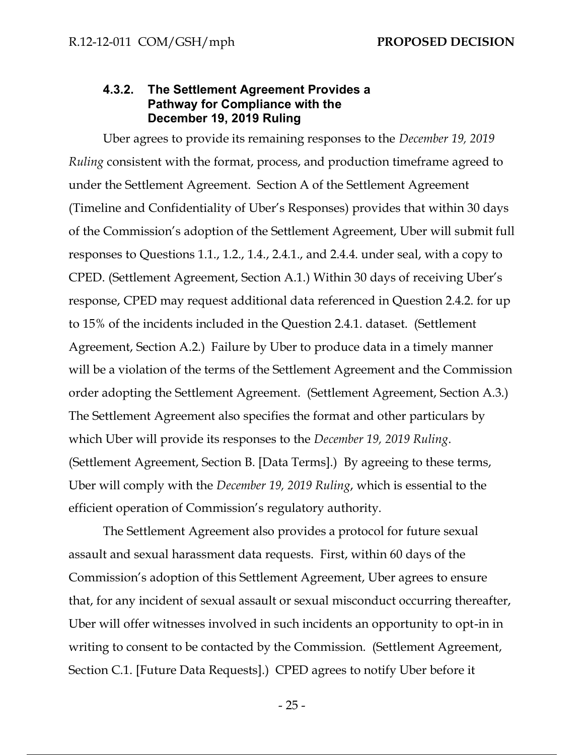#### **4.3.2. The Settlement Agreement Provides a Pathway for Compliance with the December 19, 2019 Ruling**

Uber agrees to provide its remaining responses to the *December 19, 2019 Ruling* consistent with the format, process, and production timeframe agreed to under the Settlement Agreement. Section A of the Settlement Agreement (Timeline and Confidentiality of Uber's Responses) provides that within 30 days of the Commission's adoption of the Settlement Agreement, Uber will submit full responses to Questions 1.1., 1.2., 1.4., 2.4.1., and 2.4.4. under seal, with a copy to CPED. (Settlement Agreement, Section A.1.) Within 30 days of receiving Uber's response, CPED may request additional data referenced in Question 2.4.2. for up to 15% of the incidents included in the Question 2.4.1. dataset. (Settlement Agreement, Section A.2.) Failure by Uber to produce data in a timely manner will be a violation of the terms of the Settlement Agreement and the Commission order adopting the Settlement Agreement. (Settlement Agreement, Section A.3.) The Settlement Agreement also specifies the format and other particulars by which Uber will provide its responses to the *December 19, 2019 Ruling*. (Settlement Agreement, Section B. [Data Terms].) By agreeing to these terms, Uber will comply with the *December 19, 2019 Ruling*, which is essential to the efficient operation of Commission's regulatory authority.

The Settlement Agreement also provides a protocol for future sexual assault and sexual harassment data requests. First, within 60 days of the Commission's adoption of this Settlement Agreement, Uber agrees to ensure that, for any incident of sexual assault or sexual misconduct occurring thereafter, Uber will offer witnesses involved in such incidents an opportunity to opt-in in writing to consent to be contacted by the Commission. (Settlement Agreement, Section C.1. [Future Data Requests].) CPED agrees to notify Uber before it

- 25 -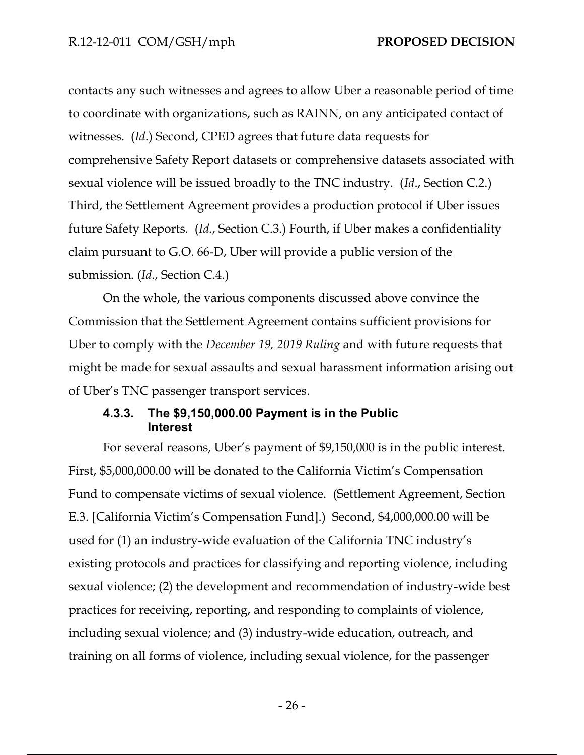contacts any such witnesses and agrees to allow Uber a reasonable period of time to coordinate with organizations, such as RAINN, on any anticipated contact of witnesses. (*Id*.) Second, CPED agrees that future data requests for comprehensive Safety Report datasets or comprehensive datasets associated with sexual violence will be issued broadly to the TNC industry. (*Id*., Section C.2.) Third, the Settlement Agreement provides a production protocol if Uber issues future Safety Reports. (*Id*., Section C.3.) Fourth, if Uber makes a confidentiality claim pursuant to G.O. 66-D, Uber will provide a public version of the submission. (*Id*., Section C.4.)

On the whole, the various components discussed above convince the Commission that the Settlement Agreement contains sufficient provisions for Uber to comply with the *December 19, 2019 Ruling* and with future requests that might be made for sexual assaults and sexual harassment information arising out of Uber's TNC passenger transport services.

#### **4.3.3. The \$9,150,000.00 Payment is in the Public Interest**

For several reasons, Uber's payment of \$9,150,000 is in the public interest. First, \$5,000,000.00 will be donated to the California Victim's Compensation Fund to compensate victims of sexual violence. (Settlement Agreement, Section E.3. [California Victim's Compensation Fund].) Second, \$4,000,000.00 will be used for (1) an industry-wide evaluation of the California TNC industry's existing protocols and practices for classifying and reporting violence, including sexual violence; (2) the development and recommendation of industry-wide best practices for receiving, reporting, and responding to complaints of violence, including sexual violence; and (3) industry-wide education, outreach, and training on all forms of violence, including sexual violence, for the passenger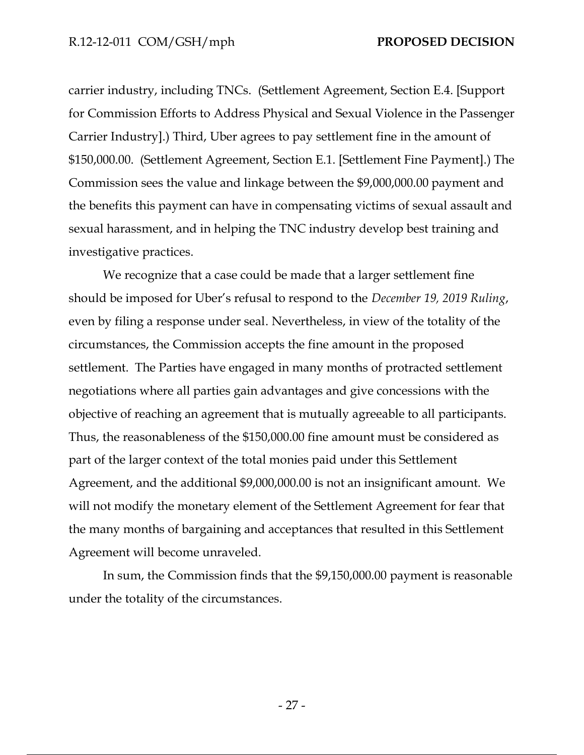carrier industry, including TNCs. (Settlement Agreement, Section E.4. [Support for Commission Efforts to Address Physical and Sexual Violence in the Passenger Carrier Industry].) Third, Uber agrees to pay settlement fine in the amount of \$150,000.00. (Settlement Agreement, Section E.1. [Settlement Fine Payment].) The Commission sees the value and linkage between the \$9,000,000.00 payment and the benefits this payment can have in compensating victims of sexual assault and sexual harassment, and in helping the TNC industry develop best training and investigative practices.

We recognize that a case could be made that a larger settlement fine should be imposed for Uber's refusal to respond to the *December 19, 2019 Ruling*, even by filing a response under seal. Nevertheless, in view of the totality of the circumstances, the Commission accepts the fine amount in the proposed settlement. The Parties have engaged in many months of protracted settlement negotiations where all parties gain advantages and give concessions with the objective of reaching an agreement that is mutually agreeable to all participants. Thus, the reasonableness of the \$150,000.00 fine amount must be considered as part of the larger context of the total monies paid under this Settlement Agreement, and the additional \$9,000,000.00 is not an insignificant amount. We will not modify the monetary element of the Settlement Agreement for fear that the many months of bargaining and acceptances that resulted in this Settlement Agreement will become unraveled.

In sum, the Commission finds that the \$9,150,000.00 payment is reasonable under the totality of the circumstances.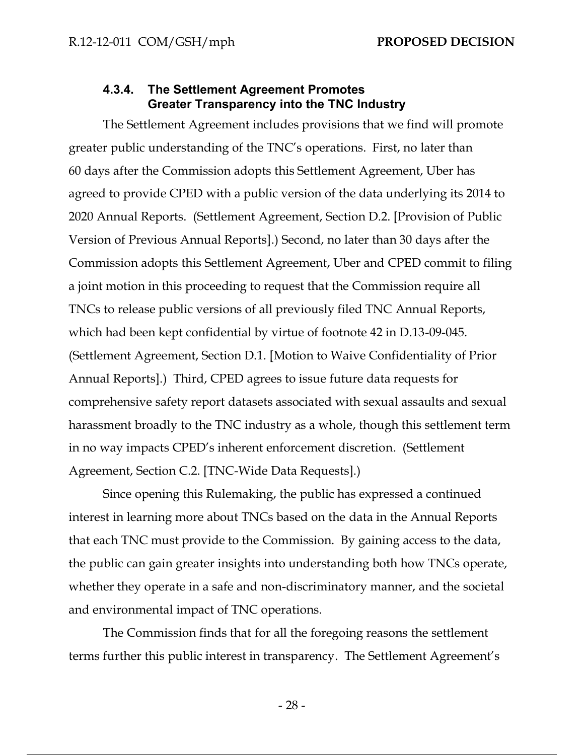#### **4.3.4. The Settlement Agreement Promotes Greater Transparency into the TNC Industry**

The Settlement Agreement includes provisions that we find will promote greater public understanding of the TNC's operations. First, no later than 60 days after the Commission adopts this Settlement Agreement, Uber has agreed to provide CPED with a public version of the data underlying its 2014 to 2020 Annual Reports. (Settlement Agreement, Section D.2. [Provision of Public Version of Previous Annual Reports].) Second, no later than 30 days after the Commission adopts this Settlement Agreement, Uber and CPED commit to filing a joint motion in this proceeding to request that the Commission require all TNCs to release public versions of all previously filed TNC Annual Reports, which had been kept confidential by virtue of footnote 42 in D.13-09-045. (Settlement Agreement, Section D.1. [Motion to Waive Confidentiality of Prior Annual Reports].) Third, CPED agrees to issue future data requests for comprehensive safety report datasets associated with sexual assaults and sexual harassment broadly to the TNC industry as a whole, though this settlement term in no way impacts CPED's inherent enforcement discretion. (Settlement Agreement, Section C.2. [TNC-Wide Data Requests].)

Since opening this Rulemaking, the public has expressed a continued interest in learning more about TNCs based on the data in the Annual Reports that each TNC must provide to the Commission. By gaining access to the data, the public can gain greater insights into understanding both how TNCs operate, whether they operate in a safe and non-discriminatory manner, and the societal and environmental impact of TNC operations.

The Commission finds that for all the foregoing reasons the settlement terms further this public interest in transparency. The Settlement Agreement's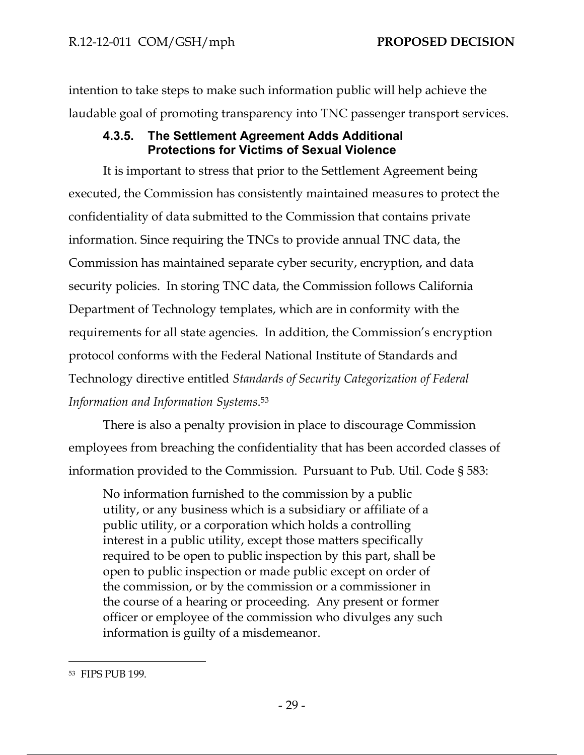intention to take steps to make such information public will help achieve the laudable goal of promoting transparency into TNC passenger transport services.

### **4.3.5. The Settlement Agreement Adds Additional Protections for Victims of Sexual Violence**

It is important to stress that prior to the Settlement Agreement being executed, the Commission has consistently maintained measures to protect the confidentiality of data submitted to the Commission that contains private information. Since requiring the TNCs to provide annual TNC data, the Commission has maintained separate cyber security, encryption, and data security policies. In storing TNC data, the Commission follows California Department of Technology templates, which are in conformity with the requirements for all state agencies. In addition, the Commission's encryption protocol conforms with the Federal National Institute of Standards and Technology directive entitled *Standards of Security Categorization of Federal Information and Information Systems*. 53

There is also a penalty provision in place to discourage Commission employees from breaching the confidentiality that has been accorded classes of information provided to the Commission. Pursuant to Pub. Util. Code § 583:

No information furnished to the commission by a public utility, or any business which is a subsidiary or affiliate of a public utility, or a corporation which holds a controlling interest in a public utility, except those matters specifically required to be open to public inspection by this part, shall be open to public inspection or made public except on order of the commission, or by the commission or a commissioner in the course of a hearing or proceeding. Any present or former officer or employee of the commission who divulges any such information is guilty of a misdemeanor.

<sup>53</sup> FIPS PUB 199.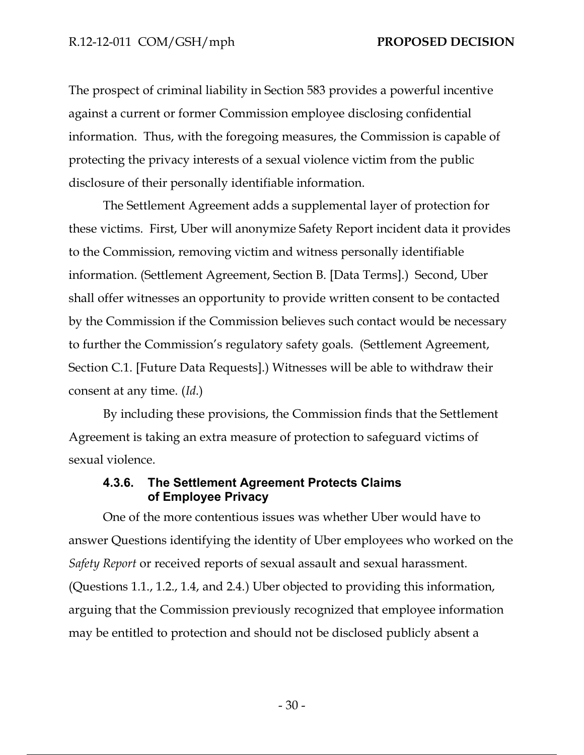The prospect of criminal liability in Section 583 provides a powerful incentive against a current or former Commission employee disclosing confidential information. Thus, with the foregoing measures, the Commission is capable of protecting the privacy interests of a sexual violence victim from the public disclosure of their personally identifiable information.

The Settlement Agreement adds a supplemental layer of protection for these victims. First, Uber will anonymize Safety Report incident data it provides to the Commission, removing victim and witness personally identifiable information. (Settlement Agreement, Section B. [Data Terms].) Second, Uber shall offer witnesses an opportunity to provide written consent to be contacted by the Commission if the Commission believes such contact would be necessary to further the Commission's regulatory safety goals. (Settlement Agreement, Section C.1. [Future Data Requests].) Witnesses will be able to withdraw their consent at any time. (*Id*.)

By including these provisions, the Commission finds that the Settlement Agreement is taking an extra measure of protection to safeguard victims of sexual violence.

#### **4.3.6. The Settlement Agreement Protects Claims of Employee Privacy**

One of the more contentious issues was whether Uber would have to answer Questions identifying the identity of Uber employees who worked on the *Safety Report* or received reports of sexual assault and sexual harassment. (Questions 1.1., 1.2., 1.4, and 2.4.) Uber objected to providing this information, arguing that the Commission previously recognized that employee information may be entitled to protection and should not be disclosed publicly absent a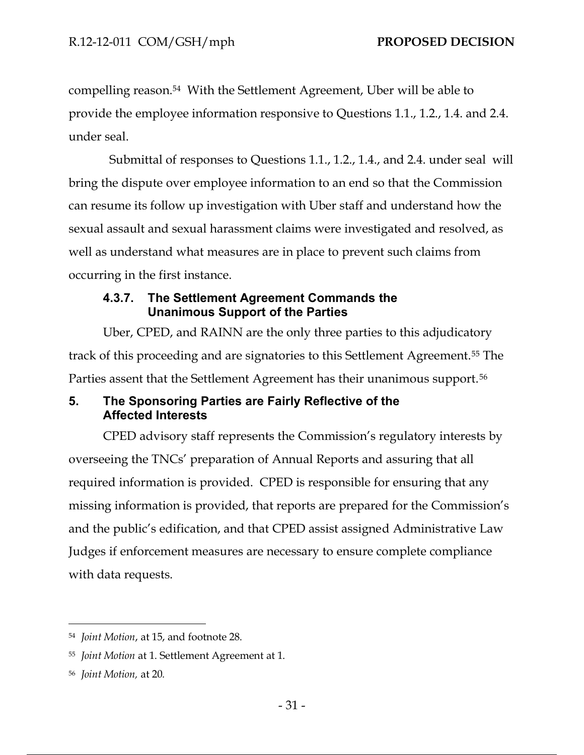compelling reason.54 With the Settlement Agreement, Uber will be able to provide the employee information responsive to Questions 1.1., 1.2., 1.4. and 2.4. under seal.

 Submittal of responses to Questions 1.1., 1.2., 1.4., and 2.4. under seal will bring the dispute over employee information to an end so that the Commission can resume its follow up investigation with Uber staff and understand how the sexual assault and sexual harassment claims were investigated and resolved, as well as understand what measures are in place to prevent such claims from occurring in the first instance.

#### **4.3.7. The Settlement Agreement Commands the Unanimous Support of the Parties**

Uber, CPED, and RAINN are the only three parties to this adjudicatory track of this proceeding and are signatories to this Settlement Agreement.<sup>55</sup> The Parties assent that the Settlement Agreement has their unanimous support.<sup>56</sup>

### **5. The Sponsoring Parties are Fairly Reflective of the Affected Interests**

CPED advisory staff represents the Commission's regulatory interests by overseeing the TNCs' preparation of Annual Reports and assuring that all required information is provided. CPED is responsible for ensuring that any missing information is provided, that reports are prepared for the Commission's and the public's edification, and that CPED assist assigned Administrative Law Judges if enforcement measures are necessary to ensure complete compliance with data requests.

<sup>54</sup> *Joint Motion*, at 15, and footnote 28.

<sup>55</sup> *Joint Motion* at 1. Settlement Agreement at 1.

<sup>56</sup> *Joint Motion,* at 20*.*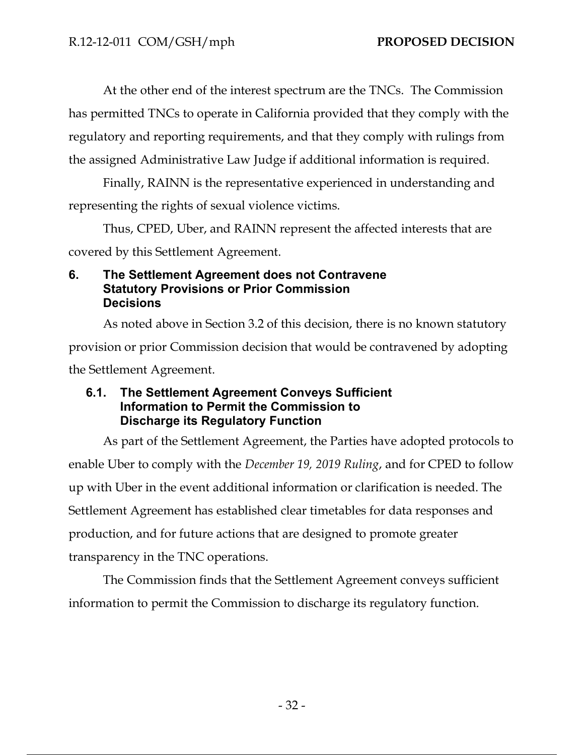At the other end of the interest spectrum are the TNCs. The Commission has permitted TNCs to operate in California provided that they comply with the regulatory and reporting requirements, and that they comply with rulings from the assigned Administrative Law Judge if additional information is required.

Finally, RAINN is the representative experienced in understanding and representing the rights of sexual violence victims.

Thus, CPED, Uber, and RAINN represent the affected interests that are

covered by this Settlement Agreement.

### **6. The Settlement Agreement does not Contravene Statutory Provisions or Prior Commission Decisions**

As noted above in Section 3.2 of this decision, there is no known statutory provision or prior Commission decision that would be contravened by adopting the Settlement Agreement.

### **6.1. The Settlement Agreement Conveys Sufficient Information to Permit the Commission to Discharge its Regulatory Function**

As part of the Settlement Agreement, the Parties have adopted protocols to enable Uber to comply with the *December 19, 2019 Ruling*, and for CPED to follow up with Uber in the event additional information or clarification is needed. The Settlement Agreement has established clear timetables for data responses and production, and for future actions that are designed to promote greater transparency in the TNC operations.

The Commission finds that the Settlement Agreement conveys sufficient information to permit the Commission to discharge its regulatory function.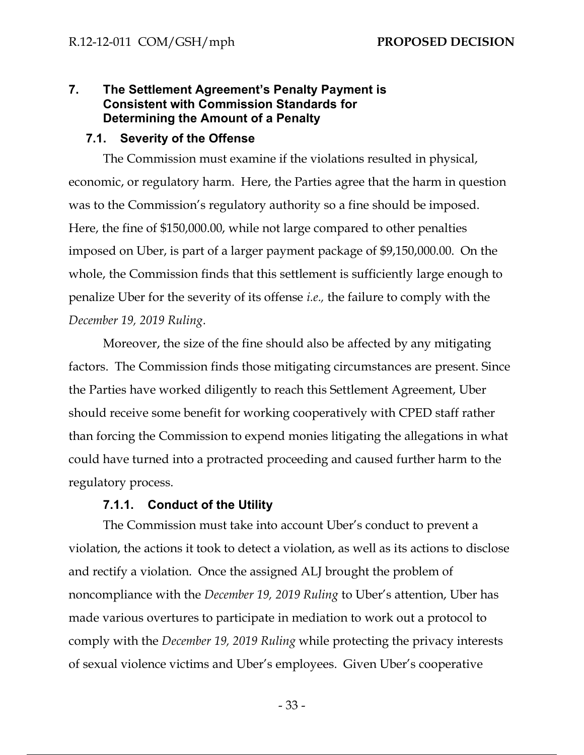### **7. The Settlement Agreement's Penalty Payment is Consistent with Commission Standards for Determining the Amount of a Penalty**

#### **7.1. Severity of the Offense**

The Commission must examine if the violations resulted in physical, economic, or regulatory harm. Here, the Parties agree that the harm in question was to the Commission's regulatory authority so a fine should be imposed. Here, the fine of \$150,000.00, while not large compared to other penalties imposed on Uber, is part of a larger payment package of \$9,150,000.00. On the whole, the Commission finds that this settlement is sufficiently large enough to penalize Uber for the severity of its offense *i.e.,* the failure to comply with the *December 19, 2019 Ruling*.

Moreover, the size of the fine should also be affected by any mitigating factors. The Commission finds those mitigating circumstances are present. Since the Parties have worked diligently to reach this Settlement Agreement, Uber should receive some benefit for working cooperatively with CPED staff rather than forcing the Commission to expend monies litigating the allegations in what could have turned into a protracted proceeding and caused further harm to the regulatory process.

#### **7.1.1. Conduct of the Utility**

The Commission must take into account Uber's conduct to prevent a violation, the actions it took to detect a violation, as well as its actions to disclose and rectify a violation. Once the assigned ALJ brought the problem of noncompliance with the *December 19, 2019 Ruling* to Uber's attention, Uber has made various overtures to participate in mediation to work out a protocol to comply with the *December 19, 2019 Ruling* while protecting the privacy interests of sexual violence victims and Uber's employees. Given Uber's cooperative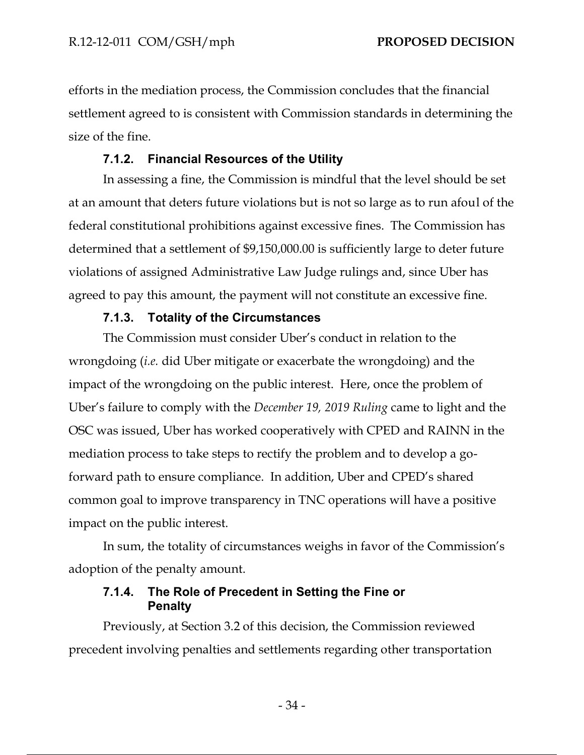efforts in the mediation process, the Commission concludes that the financial settlement agreed to is consistent with Commission standards in determining the size of the fine.

## **7.1.2. Financial Resources of the Utility**

In assessing a fine, the Commission is mindful that the level should be set at an amount that deters future violations but is not so large as to run afoul of the federal constitutional prohibitions against excessive fines. The Commission has determined that a settlement of \$9,150,000.00 is sufficiently large to deter future violations of assigned Administrative Law Judge rulings and, since Uber has agreed to pay this amount, the payment will not constitute an excessive fine.

### **7.1.3. Totality of the Circumstances**

The Commission must consider Uber's conduct in relation to the wrongdoing (*i.e.* did Uber mitigate or exacerbate the wrongdoing) and the impact of the wrongdoing on the public interest. Here, once the problem of Uber's failure to comply with the *December 19, 2019 Ruling* came to light and the OSC was issued, Uber has worked cooperatively with CPED and RAINN in the mediation process to take steps to rectify the problem and to develop a goforward path to ensure compliance. In addition, Uber and CPED's shared common goal to improve transparency in TNC operations will have a positive impact on the public interest.

In sum, the totality of circumstances weighs in favor of the Commission's adoption of the penalty amount.

### **7.1.4. The Role of Precedent in Setting the Fine or Penalty**

Previously, at Section 3.2 of this decision, the Commission reviewed precedent involving penalties and settlements regarding other transportation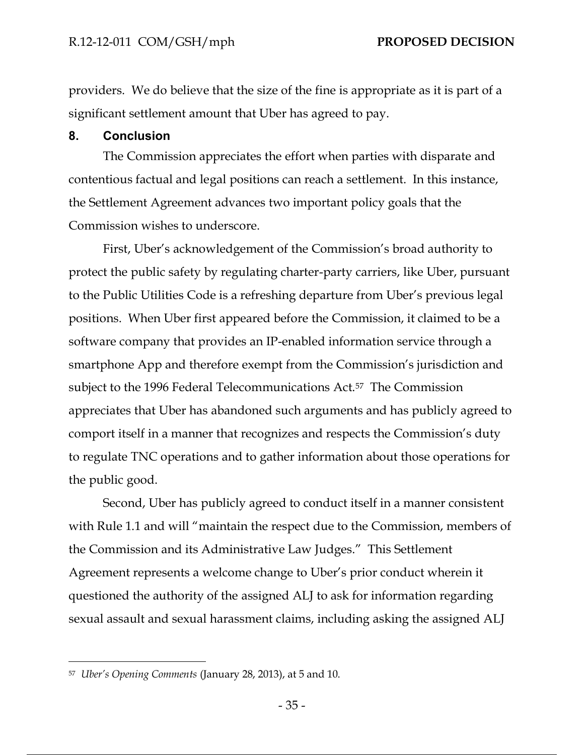providers. We do believe that the size of the fine is appropriate as it is part of a significant settlement amount that Uber has agreed to pay.

#### **8. Conclusion**

The Commission appreciates the effort when parties with disparate and contentious factual and legal positions can reach a settlement. In this instance, the Settlement Agreement advances two important policy goals that the Commission wishes to underscore.

First, Uber's acknowledgement of the Commission's broad authority to protect the public safety by regulating charter-party carriers, like Uber, pursuant to the Public Utilities Code is a refreshing departure from Uber's previous legal positions. When Uber first appeared before the Commission, it claimed to be a software company that provides an IP-enabled information service through a smartphone App and therefore exempt from the Commission's jurisdiction and subject to the 1996 Federal Telecommunications Act.57 The Commission appreciates that Uber has abandoned such arguments and has publicly agreed to comport itself in a manner that recognizes and respects the Commission's duty to regulate TNC operations and to gather information about those operations for the public good.

Second, Uber has publicly agreed to conduct itself in a manner consistent with Rule 1.1 and will "maintain the respect due to the Commission, members of the Commission and its Administrative Law Judges." This Settlement Agreement represents a welcome change to Uber's prior conduct wherein it questioned the authority of the assigned ALJ to ask for information regarding sexual assault and sexual harassment claims, including asking the assigned ALJ

<sup>57</sup> *Uber's Opening Comments* (January 28, 2013), at 5 and 10.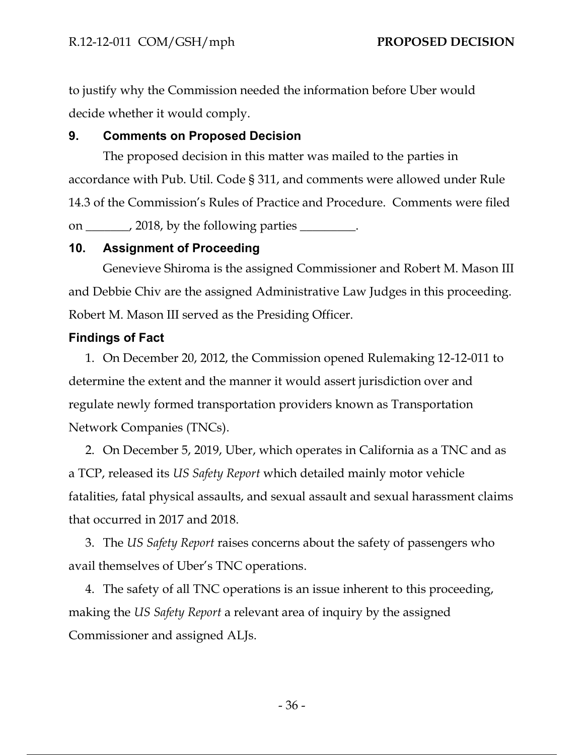to justify why the Commission needed the information before Uber would decide whether it would comply.

#### **9. Comments on Proposed Decision**

The proposed decision in this matter was mailed to the parties in accordance with Pub. Util. Code § 311, and comments were allowed under Rule 14.3 of the Commission's Rules of Practice and Procedure. Comments were filed on \_\_\_\_\_\_\_, 2018, by the following parties \_\_\_\_\_\_\_\_.

### **10. Assignment of Proceeding**

Genevieve Shiroma is the assigned Commissioner and Robert M. Mason III and Debbie Chiv are the assigned Administrative Law Judges in this proceeding. Robert M. Mason III served as the Presiding Officer.

### **Findings of Fact**

1. On December 20, 2012, the Commission opened Rulemaking 12-12-011 to determine the extent and the manner it would assert jurisdiction over and regulate newly formed transportation providers known as Transportation Network Companies (TNCs).

2. On December 5, 2019, Uber, which operates in California as a TNC and as a TCP, released its *US Safety Report* which detailed mainly motor vehicle fatalities, fatal physical assaults, and sexual assault and sexual harassment claims that occurred in 2017 and 2018.

3. The *US Safety Report* raises concerns about the safety of passengers who avail themselves of Uber's TNC operations.

4. The safety of all TNC operations is an issue inherent to this proceeding, making the *US Safety Report* a relevant area of inquiry by the assigned Commissioner and assigned ALJs.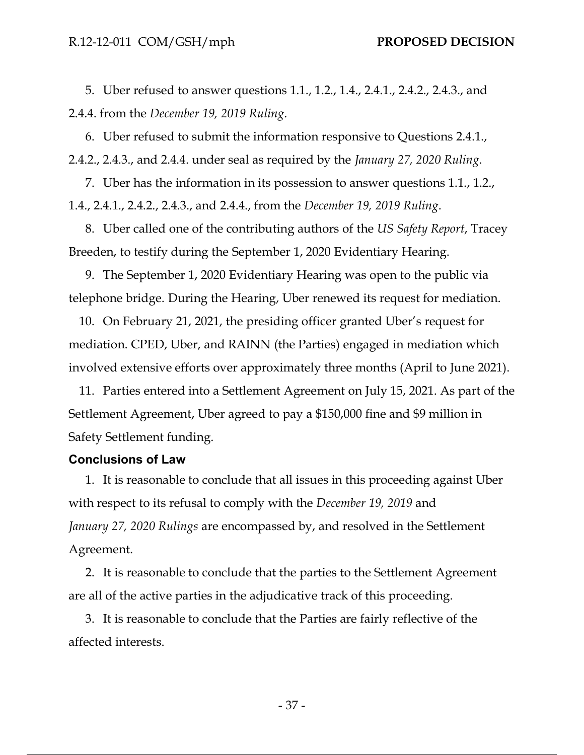5. Uber refused to answer questions 1.1., 1.2., 1.4., 2.4.1., 2.4.2., 2.4.3., and 2.4.4. from the *December 19, 2019 Ruling*.

6. Uber refused to submit the information responsive to Questions 2.4.1., 2.4.2., 2.4.3., and 2.4.4. under seal as required by the *January 27, 2020 Ruling*.

7. Uber has the information in its possession to answer questions 1.1., 1.2., 1.4., 2.4.1., 2.4.2., 2.4.3., and 2.4.4., from the *December 19, 2019 Ruling*.

8. Uber called one of the contributing authors of the *US Safety Report*, Tracey Breeden, to testify during the September 1, 2020 Evidentiary Hearing.

9. The September 1, 2020 Evidentiary Hearing was open to the public via telephone bridge. During the Hearing, Uber renewed its request for mediation.

10. On February 21, 2021, the presiding officer granted Uber's request for mediation. CPED, Uber, and RAINN (the Parties) engaged in mediation which involved extensive efforts over approximately three months (April to June 2021).

11. Parties entered into a Settlement Agreement on July 15, 2021. As part of the Settlement Agreement, Uber agreed to pay a \$150,000 fine and \$9 million in Safety Settlement funding.

#### **Conclusions of Law**

1. It is reasonable to conclude that all issues in this proceeding against Uber with respect to its refusal to comply with the *December 19, 2019* and *January 27, 2020 Rulings* are encompassed by, and resolved in the Settlement Agreement.

2. It is reasonable to conclude that the parties to the Settlement Agreement are all of the active parties in the adjudicative track of this proceeding.

3. It is reasonable to conclude that the Parties are fairly reflective of the affected interests.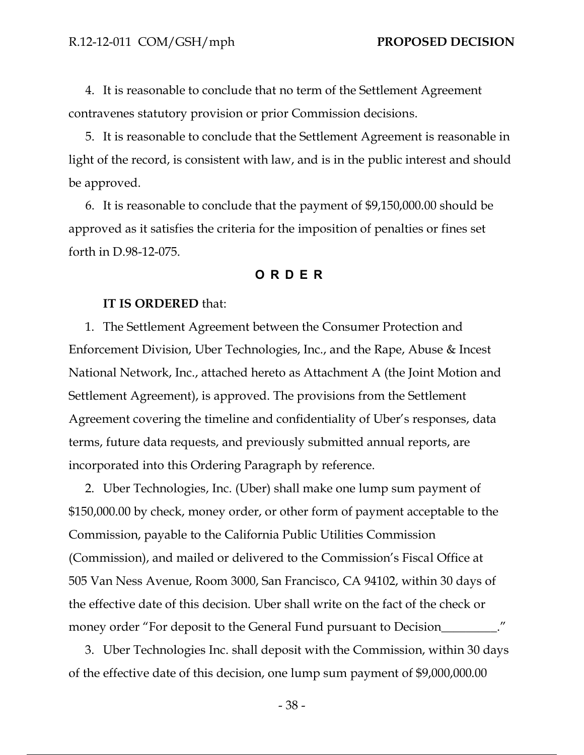4. It is reasonable to conclude that no term of the Settlement Agreement contravenes statutory provision or prior Commission decisions.

5. It is reasonable to conclude that the Settlement Agreement is reasonable in light of the record, is consistent with law, and is in the public interest and should be approved.

6. It is reasonable to conclude that the payment of \$9,150,000.00 should be approved as it satisfies the criteria for the imposition of penalties or fines set forth in D.98-12-075.

### **ORDER**

#### **IT IS ORDERED** that:

1. The Settlement Agreement between the Consumer Protection and Enforcement Division, Uber Technologies, Inc., and the Rape, Abuse & Incest National Network, Inc., attached hereto as Attachment A (the Joint Motion and Settlement Agreement), is approved. The provisions from the Settlement Agreement covering the timeline and confidentiality of Uber's responses, data terms, future data requests, and previously submitted annual reports, are incorporated into this Ordering Paragraph by reference.

2. Uber Technologies, Inc. (Uber) shall make one lump sum payment of \$150,000.00 by check, money order, or other form of payment acceptable to the Commission, payable to the California Public Utilities Commission (Commission), and mailed or delivered to the Commission's Fiscal Office at 505 Van Ness Avenue, Room 3000, San Francisco, CA 94102, within 30 days of the effective date of this decision. Uber shall write on the fact of the check or money order "For deposit to the General Fund pursuant to Decision\_\_\_\_\_\_\_\_\_."

3. Uber Technologies Inc. shall deposit with the Commission, within 30 days of the effective date of this decision, one lump sum payment of \$9,000,000.00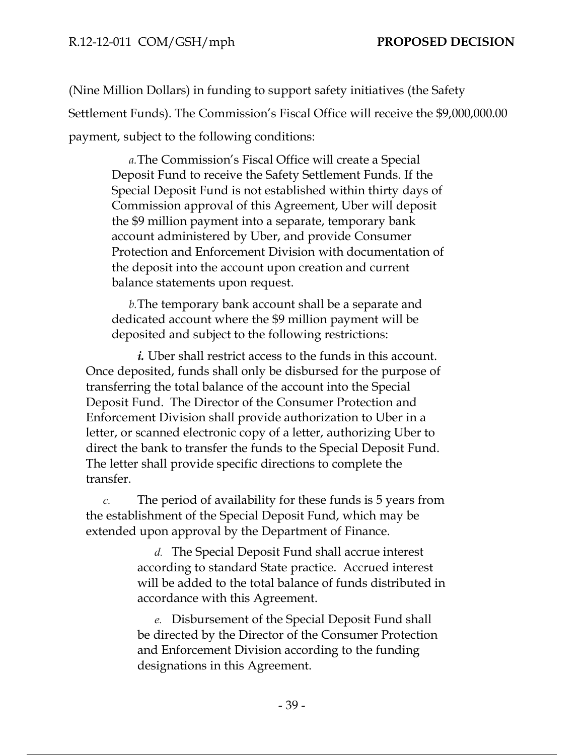(Nine Million Dollars) in funding to support safety initiatives (the Safety Settlement Funds). The Commission's Fiscal Office will receive the \$9,000,000.00 payment, subject to the following conditions:

*a.*The Commission's Fiscal Office will create a Special Deposit Fund to receive the Safety Settlement Funds. If the Special Deposit Fund is not established within thirty days of Commission approval of this Agreement, Uber will deposit the \$9 million payment into a separate, temporary bank account administered by Uber, and provide Consumer Protection and Enforcement Division with documentation of the deposit into the account upon creation and current balance statements upon request.

*b.*The temporary bank account shall be a separate and dedicated account where the \$9 million payment will be deposited and subject to the following restrictions:

*i.* Uber shall restrict access to the funds in this account. Once deposited, funds shall only be disbursed for the purpose of transferring the total balance of the account into the Special Deposit Fund. The Director of the Consumer Protection and Enforcement Division shall provide authorization to Uber in a letter, or scanned electronic copy of a letter, authorizing Uber to direct the bank to transfer the funds to the Special Deposit Fund. The letter shall provide specific directions to complete the transfer.

*c.* The period of availability for these funds is 5 years from the establishment of the Special Deposit Fund, which may be extended upon approval by the Department of Finance.

> *d.* The Special Deposit Fund shall accrue interest according to standard State practice. Accrued interest will be added to the total balance of funds distributed in accordance with this Agreement.

*e.* Disbursement of the Special Deposit Fund shall be directed by the Director of the Consumer Protection and Enforcement Division according to the funding designations in this Agreement.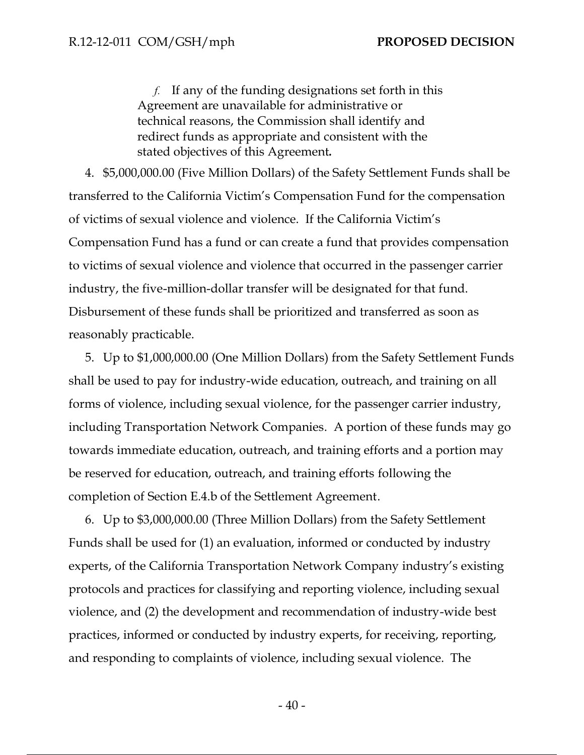*f.* If any of the funding designations set forth in this Agreement are unavailable for administrative or technical reasons, the Commission shall identify and redirect funds as appropriate and consistent with the stated objectives of this Agreement*.* 

4. \$5,000,000.00 (Five Million Dollars) of the Safety Settlement Funds shall be transferred to the California Victim's Compensation Fund for the compensation of victims of sexual violence and violence. If the California Victim's Compensation Fund has a fund or can create a fund that provides compensation to victims of sexual violence and violence that occurred in the passenger carrier industry, the five-million-dollar transfer will be designated for that fund. Disbursement of these funds shall be prioritized and transferred as soon as reasonably practicable.

5. Up to \$1,000,000.00 (One Million Dollars) from the Safety Settlement Funds shall be used to pay for industry-wide education, outreach, and training on all forms of violence, including sexual violence, for the passenger carrier industry, including Transportation Network Companies. A portion of these funds may go towards immediate education, outreach, and training efforts and a portion may be reserved for education, outreach, and training efforts following the completion of Section E.4.b of the Settlement Agreement.

6. Up to \$3,000,000.00 (Three Million Dollars) from the Safety Settlement Funds shall be used for (1) an evaluation, informed or conducted by industry experts, of the California Transportation Network Company industry's existing protocols and practices for classifying and reporting violence, including sexual violence, and (2) the development and recommendation of industry-wide best practices, informed or conducted by industry experts, for receiving, reporting, and responding to complaints of violence, including sexual violence. The